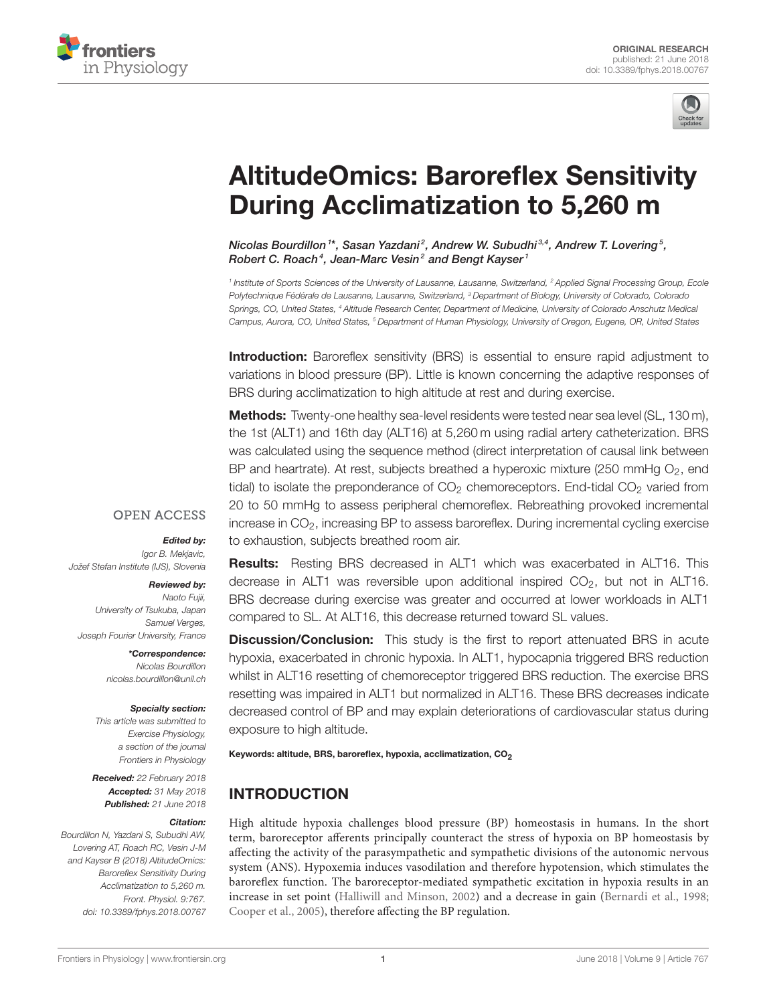



# [AltitudeOmics: Baroreflex Sensitivity](https://www.frontiersin.org/articles/10.3389/fphys.2018.00767/full) During Acclimatization to 5,260 m

[Nicolas Bourdillon](http://loop.frontiersin.org/people/239930/overview)  $1^*$ , [Sasan Yazdani](http://loop.frontiersin.org/people/458622/overview) $^2$ , [Andrew W. Subudhi](http://loop.frontiersin.org/people/299676/overview) $^{3,4}$ , [Andrew T. Lovering](http://loop.frontiersin.org/people/19498/overview)  $^5$ , [Robert C. Roach](http://loop.frontiersin.org/people/302341/overview) $^4$ , [Jean-Marc Vesin](http://loop.frontiersin.org/people/489442/overview) $^2$  and [Bengt Kayser](http://loop.frontiersin.org/people/132593/overview)  $^1$ 

<sup>1</sup> Institute of Sports Sciences of the University of Lausanne, Lausanne, Switzerland, <sup>2</sup> Applied Signal Processing Group, Ecole Polytechnique Fédérale de Lausanne, Lausanne, Switzerland, <sup>3</sup> Department of Biology, University of Colorado, Colorado Springs, CO, United States, <sup>4</sup> Altitude Research Center, Department of Medicine, University of Colorado Anschutz Medical Campus, Aurora, CO, United States, <sup>5</sup> Department of Human Physiology, University of Oregon, Eugene, OR, United States

**Introduction:** Baroreflex sensitivity (BRS) is essential to ensure rapid adjustment to variations in blood pressure (BP). Little is known concerning the adaptive responses of BRS during acclimatization to high altitude at rest and during exercise.

**Methods:** Twenty-one healthy sea-level residents were tested near sea level (SL, 130 m), the 1st (ALT1) and 16th day (ALT16) at 5,260 m using radial artery catheterization. BRS was calculated using the sequence method (direct interpretation of causal link between BP and heartrate). At rest, subjects breathed a hyperoxic mixture (250 mmHg  $O_2$ , end tidal) to isolate the preponderance of  $CO<sub>2</sub>$  chemoreceptors. End-tidal  $CO<sub>2</sub>$  varied from 20 to 50 mmHg to assess peripheral chemoreflex. Rebreathing provoked incremental increase in CO<sub>2</sub>, increasing BP to assess baroreflex. During incremental cycling exercise to exhaustion, subjects breathed room air.

#### **OPEN ACCESS**

#### Edited by:

Igor B. Mekjavic, Jožef Stefan Institute (IJS), Slovenia

#### Reviewed by:

Naoto Fujii, University of Tsukuba, Japan Samuel Verges, Joseph Fourier University, France

> \*Correspondence: Nicolas Bourdillon [nicolas.bourdillon@unil.ch](mailto:nicolas.bourdillon@unil.ch)

#### Specialty section:

This article was submitted to Exercise Physiology, a section of the journal Frontiers in Physiology

Received: 22 February 2018 Accepted: 31 May 2018 Published: 21 June 2018

#### Citation:

Bourdillon N, Yazdani S, Subudhi AW, Lovering AT, Roach RC, Vesin J-M and Kayser B (2018) AltitudeOmics: Baroreflex Sensitivity During Acclimatization to 5,260 m. Front. Physiol. 9:767. doi: [10.3389/fphys.2018.00767](https://doi.org/10.3389/fphys.2018.00767) Results: Resting BRS decreased in ALT1 which was exacerbated in ALT16. This decrease in ALT1 was reversible upon additional inspired  $CO<sub>2</sub>$ , but not in ALT16. BRS decrease during exercise was greater and occurred at lower workloads in ALT1 compared to SL. At ALT16, this decrease returned toward SL values.

**Discussion/Conclusion:** This study is the first to report attenuated BRS in acute hypoxia, exacerbated in chronic hypoxia. In ALT1, hypocapnia triggered BRS reduction whilst in ALT16 resetting of chemoreceptor triggered BRS reduction. The exercise BRS resetting was impaired in ALT1 but normalized in ALT16. These BRS decreases indicate decreased control of BP and may explain deteriorations of cardiovascular status during exposure to high altitude.

Keywords: altitude, BRS, baroreflex, hypoxia, acclimatization, CO<sub>2</sub>

# INTRODUCTION

High altitude hypoxia challenges blood pressure (BP) homeostasis in humans. In the short term, baroreceptor afferents principally counteract the stress of hypoxia on BP homeostasis by affecting the activity of the parasympathetic and sympathetic divisions of the autonomic nervous system (ANS). Hypoxemia induces vasodilation and therefore hypotension, which stimulates the baroreflex function. The baroreceptor-mediated sympathetic excitation in hypoxia results in an increase in set point [\(Halliwill and Minson, 2002\)](#page-11-0) and a decrease in gain [\(Bernardi et al., 1998;](#page-11-1) [Cooper et al., 2005\)](#page-11-2), therefore affecting the BP regulation.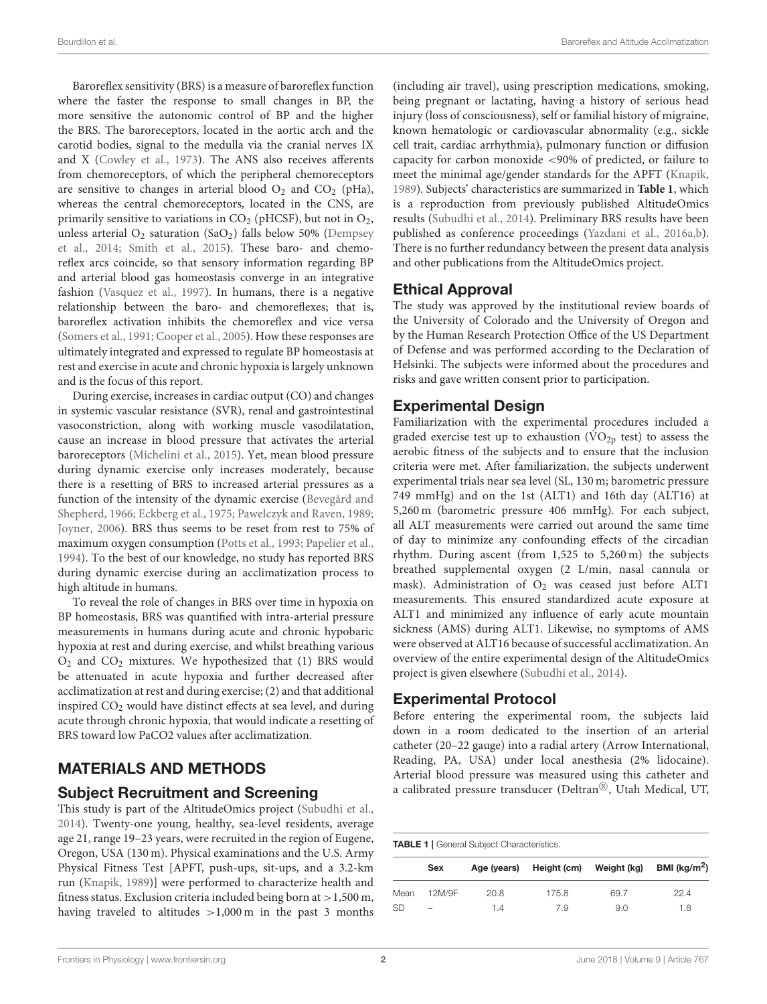Baroreflex sensitivity (BRS) is a measure of baroreflex function where the faster the response to small changes in BP, the more sensitive the autonomic control of BP and the higher the BRS. The baroreceptors, located in the aortic arch and the carotid bodies, signal to the medulla via the cranial nerves IX and X [\(Cowley et al., 1973\)](#page-11-3). The ANS also receives afferents from chemoreceptors, of which the peripheral chemoreceptors are sensitive to changes in arterial blood  $O_2$  and  $CO_2$  (pHa), whereas the central chemoreceptors, located in the CNS, are primarily sensitive to variations in  $CO<sub>2</sub>$  (pHCSF), but not in  $O<sub>2</sub>$ , unless arterial  $O_2$  saturation (Sa $O_2$ ) falls below 50% (Dempsey et al., [2014;](#page-11-4) [Smith et al., 2015\)](#page-12-0). These baro- and chemoreflex arcs coincide, so that sensory information regarding BP and arterial blood gas homeostasis converge in an integrative fashion [\(Vasquez et al., 1997\)](#page-12-1). In humans, there is a negative relationship between the baro- and chemoreflexes; that is, baroreflex activation inhibits the chemoreflex and vice versa [\(Somers et al., 1991;](#page-12-2) [Cooper et al., 2005\)](#page-11-2). How these responses are ultimately integrated and expressed to regulate BP homeostasis at rest and exercise in acute and chronic hypoxia is largely unknown and is the focus of this report.

During exercise, increases in cardiac output (CO) and changes in systemic vascular resistance (SVR), renal and gastrointestinal vasoconstriction, along with working muscle vasodilatation, cause an increase in blood pressure that activates the arterial baroreceptors [\(Michelini et al., 2015\)](#page-11-5). Yet, mean blood pressure during dynamic exercise only increases moderately, because there is a resetting of BRS to increased arterial pressures as a function of the intensity of the dynamic exercise (Bevegård and Shepherd, [1966;](#page-11-6) [Eckberg et al., 1975;](#page-11-7) [Pawelczyk and Raven, 1989;](#page-12-3) [Joyner, 2006\)](#page-11-8). BRS thus seems to be reset from rest to 75% of maximum oxygen consumption [\(Potts et al., 1993;](#page-12-4) [Papelier et al.,](#page-11-9) [1994\)](#page-11-9). To the best of our knowledge, no study has reported BRS during dynamic exercise during an acclimatization process to high altitude in humans.

To reveal the role of changes in BRS over time in hypoxia on BP homeostasis, BRS was quantified with intra-arterial pressure measurements in humans during acute and chronic hypobaric hypoxia at rest and during exercise, and whilst breathing various O<sup>2</sup> and CO<sup>2</sup> mixtures. We hypothesized that (1) BRS would be attenuated in acute hypoxia and further decreased after acclimatization at rest and during exercise; (2) and that additional inspired  $CO<sub>2</sub>$  would have distinct effects at sea level, and during acute through chronic hypoxia, that would indicate a resetting of BRS toward low PaCO2 values after acclimatization.

# MATERIALS AND METHODS

#### Subject Recruitment and Screening

This study is part of the AltitudeOmics project [\(Subudhi et al.,](#page-12-5) [2014\)](#page-12-5). Twenty-one young, healthy, sea-level residents, average age 21, range 19–23 years, were recruited in the region of Eugene, Oregon, USA (130 m). Physical examinations and the U.S. Army Physical Fitness Test [APFT, push-ups, sit-ups, and a 3.2-km run [\(Knapik, 1989\)](#page-11-10)] were performed to characterize health and fitness status. Exclusion criteria included being born at >1,500 m, having traveled to altitudes >1,000 m in the past 3 months (including air travel), using prescription medications, smoking, being pregnant or lactating, having a history of serious head injury (loss of consciousness), self or familial history of migraine, known hematologic or cardiovascular abnormality (e.g., sickle cell trait, cardiac arrhythmia), pulmonary function or diffusion capacity for carbon monoxide <90% of predicted, or failure to meet the minimal age/gender standards for the APFT [\(Knapik,](#page-11-10) [1989\)](#page-11-10). Subjects' characteristics are summarized in **[Table 1](#page-1-0)**, which is a reproduction from previously published AltitudeOmics results [\(Subudhi et al., 2014\)](#page-12-5). Preliminary BRS results have been published as conference proceedings [\(Yazdani et al., 2016a](#page-12-6)[,b\)](#page-12-7). There is no further redundancy between the present data analysis and other publications from the AltitudeOmics project.

#### Ethical Approval

The study was approved by the institutional review boards of the University of Colorado and the University of Oregon and by the Human Research Protection Office of the US Department of Defense and was performed according to the Declaration of Helsinki. The subjects were informed about the procedures and risks and gave written consent prior to participation.

#### Experimental Design

Familiarization with the experimental procedures included a graded exercise test up to exhaustion ( $\rm \dot{VO}_{2p}$  test) to assess the aerobic fitness of the subjects and to ensure that the inclusion criteria were met. After familiarization, the subjects underwent experimental trials near sea level (SL, 130 m; barometric pressure 749 mmHg) and on the 1st (ALT1) and 16th day (ALT16) at 5,260 m (barometric pressure 406 mmHg). For each subject, all ALT measurements were carried out around the same time of day to minimize any confounding effects of the circadian rhythm. During ascent (from 1,525 to 5,260 m) the subjects breathed supplemental oxygen (2 L/min, nasal cannula or mask). Administration of  $O_2$  was ceased just before ALT1 measurements. This ensured standardized acute exposure at ALT1 and minimized any influence of early acute mountain sickness (AMS) during ALT1. Likewise, no symptoms of AMS were observed at ALT16 because of successful acclimatization. An overview of the entire experimental design of the AltitudeOmics project is given elsewhere [\(Subudhi et al., 2014\)](#page-12-5).

#### Experimental Protocol

Before entering the experimental room, the subjects laid down in a room dedicated to the insertion of an arterial catheter (20–22 gauge) into a radial artery (Arrow International, Reading, PA, USA) under local anesthesia (2% lidocaine). Arterial blood pressure was measured using this catheter and a calibrated pressure transducer (Deltran®, Utah Medical, UT,

<span id="page-1-0"></span>

|           | Sex                      |      | Age (years) Height (cm) | Weight (kg) | BMI ( $\text{kg/m}^2$ ) |
|-----------|--------------------------|------|-------------------------|-------------|-------------------------|
| Mean      | 12M/9F                   | 20.8 | 175.8                   | 69.7        | 22.4                    |
| <b>SD</b> | $\overline{\phantom{0}}$ | 1.4  | 7.9                     | 9.0         | 1.8                     |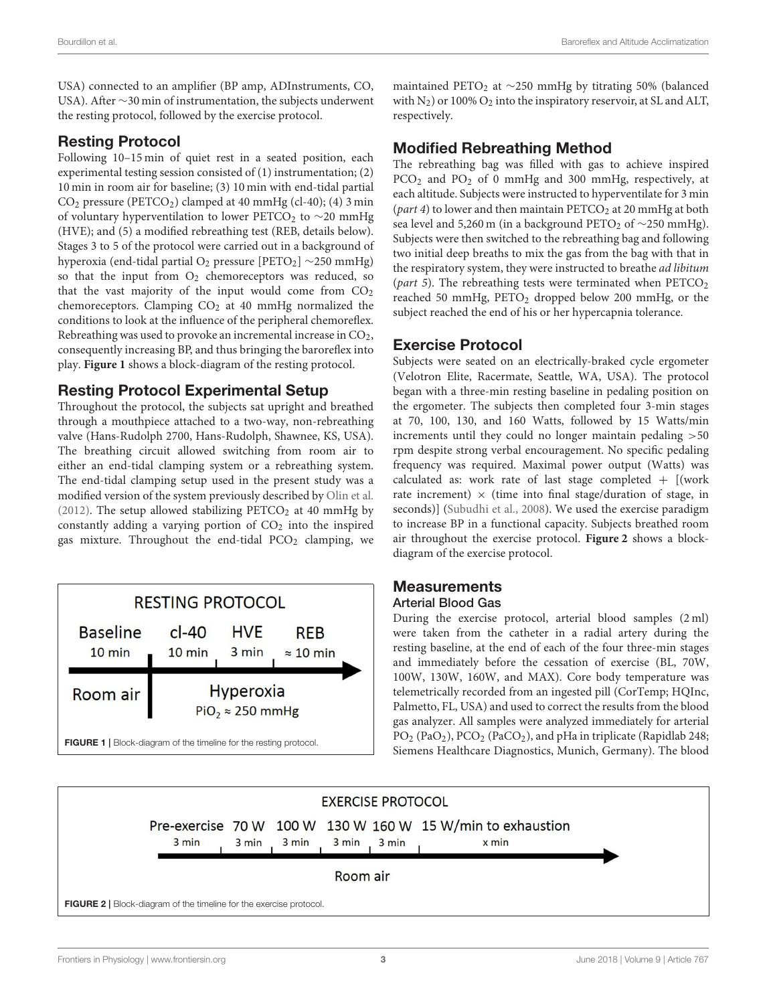USA) connected to an amplifier (BP amp, ADInstruments, CO, USA). After ∼30 min of instrumentation, the subjects underwent the resting protocol, followed by the exercise protocol.

#### Resting Protocol

Following 10–15 min of quiet rest in a seated position, each experimental testing session consisted of (1) instrumentation; (2) 10 min in room air for baseline; (3) 10 min with end-tidal partial  $CO<sub>2</sub> pressure (PETCO<sub>2</sub>) clamped at 40 mmHg (cl-40); (4) 3 min$ of voluntary hyperventilation to lower PETCO<sub>2</sub> to  $\sim$ 20 mmHg (HVE); and (5) a modified rebreathing test (REB, details below). Stages 3 to 5 of the protocol were carried out in a background of hyperoxia (end-tidal partial O<sub>2</sub> pressure [PETO<sub>2</sub>] ∼250 mmHg) so that the input from  $O_2$  chemoreceptors was reduced, so that the vast majority of the input would come from  $CO<sub>2</sub>$ chemoreceptors. Clamping CO<sub>2</sub> at 40 mmHg normalized the conditions to look at the influence of the peripheral chemoreflex. Rebreathing was used to provoke an incremental increase in  $CO<sub>2</sub>$ , consequently increasing BP, and thus bringing the baroreflex into play. **[Figure 1](#page-2-0)** shows a block-diagram of the resting protocol.

# Resting Protocol Experimental Setup

Throughout the protocol, the subjects sat upright and breathed through a mouthpiece attached to a two-way, non-rebreathing valve (Hans-Rudolph 2700, Hans-Rudolph, Shawnee, KS, USA). The breathing circuit allowed switching from room air to either an end-tidal clamping system or a rebreathing system. The end-tidal clamping setup used in the present study was a modified version of the system previously described by [Olin et al.](#page-11-11) [\(2012\)](#page-11-11). The setup allowed stabilizing  $PETCO<sub>2</sub>$  at 40 mmHg by constantly adding a varying portion of  $CO<sub>2</sub>$  into the inspired gas mixture. Throughout the end-tidal  $PCO<sub>2</sub>$  clamping, we



maintained PETO<sub>2</sub> at ∼250 mmHg by titrating 50% (balanced with  $N_2$ ) or 100%  $O_2$  into the inspiratory reservoir, at SL and ALT, respectively.

## Modified Rebreathing Method

The rebreathing bag was filled with gas to achieve inspired PCO<sup>2</sup> and PO<sup>2</sup> of 0 mmHg and 300 mmHg, respectively, at each altitude. Subjects were instructed to hyperventilate for 3 min (part 4) to lower and then maintain  $\text{PETCO}_2$  at 20 mmHg at both sea level and 5,260 m (in a background PETO<sub>2</sub> of ∼250 mmHg). Subjects were then switched to the rebreathing bag and following two initial deep breaths to mix the gas from the bag with that in the respiratory system, they were instructed to breathe *ad libitum* (part 5). The rebreathing tests were terminated when  $PETCO<sub>2</sub>$ reached 50 mmHg,  $PETO<sub>2</sub>$  dropped below 200 mmHg, or the subject reached the end of his or her hypercapnia tolerance.

# Exercise Protocol

Subjects were seated on an electrically-braked cycle ergometer (Velotron Elite, Racermate, Seattle, WA, USA). The protocol began with a three-min resting baseline in pedaling position on the ergometer. The subjects then completed four 3-min stages at 70, 100, 130, and 160 Watts, followed by 15 Watts/min increments until they could no longer maintain pedaling >50 rpm despite strong verbal encouragement. No specific pedaling frequency was required. Maximal power output (Watts) was calculated as: work rate of last stage completed  $+$  [(work rate increment)  $\times$  (time into final stage/duration of stage, in seconds)] [\(Subudhi et al., 2008\)](#page-12-8). We used the exercise paradigm to increase BP in a functional capacity. Subjects breathed room air throughout the exercise protocol. **[Figure 2](#page-2-1)** shows a blockdiagram of the exercise protocol.

# **Measurements**

#### Arterial Blood Gas

During the exercise protocol, arterial blood samples (2 ml) were taken from the catheter in a radial artery during the resting baseline, at the end of each of the four three-min stages and immediately before the cessation of exercise (BL, 70W, 100W, 130W, 160W, and MAX). Core body temperature was telemetrically recorded from an ingested pill (CorTemp; HQInc, Palmetto, FL, USA) and used to correct the results from the blood gas analyzer. All samples were analyzed immediately for arterial PO<sub>2</sub> (PaO<sub>2</sub>), PCO<sub>2</sub> (PaCO<sub>2</sub>), and pHa in triplicate (Rapidlab 248; Siemens Healthcare Diagnostics, Munich, Germany). The blood

<span id="page-2-1"></span><span id="page-2-0"></span>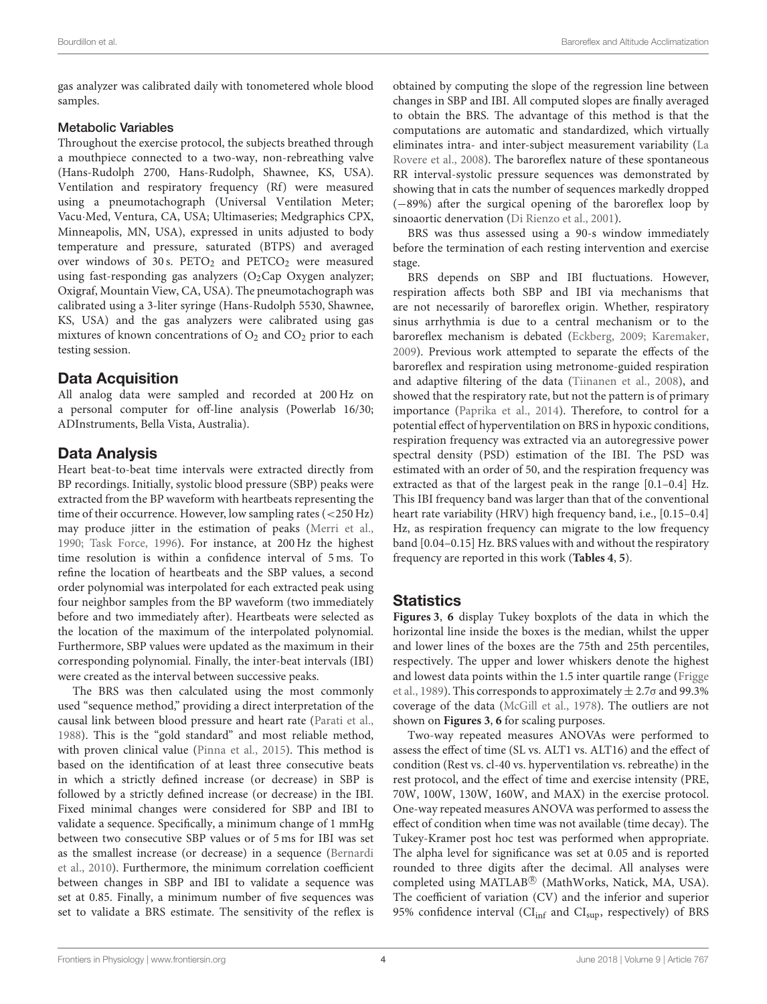gas analyzer was calibrated daily with tonometered whole blood samples.

#### Metabolic Variables

Throughout the exercise protocol, the subjects breathed through a mouthpiece connected to a two-way, non-rebreathing valve (Hans-Rudolph 2700, Hans-Rudolph, Shawnee, KS, USA). Ventilation and respiratory frequency (Rf) were measured using a pneumotachograph (Universal Ventilation Meter; Vacu·Med, Ventura, CA, USA; Ultimaseries; Medgraphics CPX, Minneapolis, MN, USA), expressed in units adjusted to body temperature and pressure, saturated (BTPS) and averaged over windows of 30 s.  $PETO<sub>2</sub>$  and  $PETO<sub>2</sub>$  were measured using fast-responding gas analyzers  $(O_2Cap \ Oxy)$  analyzer; Oxigraf, Mountain View, CA, USA). The pneumotachograph was calibrated using a 3-liter syringe (Hans-Rudolph 5530, Shawnee, KS, USA) and the gas analyzers were calibrated using gas mixtures of known concentrations of  $O_2$  and  $CO_2$  prior to each testing session.

#### Data Acquisition

All analog data were sampled and recorded at 200 Hz on a personal computer for off-line analysis (Powerlab 16/30; ADInstruments, Bella Vista, Australia).

## Data Analysis

Heart beat-to-beat time intervals were extracted directly from BP recordings. Initially, systolic blood pressure (SBP) peaks were extracted from the BP waveform with heartbeats representing the time of their occurrence. However, low sampling rates (<250 Hz) may produce jitter in the estimation of peaks [\(Merri et al.,](#page-11-12) [1990;](#page-11-12) [Task Force, 1996\)](#page-12-9). For instance, at 200 Hz the highest time resolution is within a confidence interval of 5 ms. To refine the location of heartbeats and the SBP values, a second order polynomial was interpolated for each extracted peak using four neighbor samples from the BP waveform (two immediately before and two immediately after). Heartbeats were selected as the location of the maximum of the interpolated polynomial. Furthermore, SBP values were updated as the maximum in their corresponding polynomial. Finally, the inter-beat intervals (IBI) were created as the interval between successive peaks.

The BRS was then calculated using the most commonly used "sequence method," providing a direct interpretation of the causal link between blood pressure and heart rate [\(Parati et al.,](#page-12-10) [1988\)](#page-12-10). This is the "gold standard" and most reliable method, with proven clinical value [\(Pinna et al., 2015\)](#page-12-11). This method is based on the identification of at least three consecutive beats in which a strictly defined increase (or decrease) in SBP is followed by a strictly defined increase (or decrease) in the IBI. Fixed minimal changes were considered for SBP and IBI to validate a sequence. Specifically, a minimum change of 1 mmHg between two consecutive SBP values or of 5 ms for IBI was set as the smallest increase (or decrease) in a sequence (Bernardi et al., [2010\)](#page-11-13). Furthermore, the minimum correlation coefficient between changes in SBP and IBI to validate a sequence was set at 0.85. Finally, a minimum number of five sequences was set to validate a BRS estimate. The sensitivity of the reflex is obtained by computing the slope of the regression line between changes in SBP and IBI. All computed slopes are finally averaged to obtain the BRS. The advantage of this method is that the computations are automatic and standardized, which virtually eliminates intra- and inter-subject measurement variability (La Rovere et al., [2008\)](#page-11-14). The baroreflex nature of these spontaneous RR interval-systolic pressure sequences was demonstrated by showing that in cats the number of sequences markedly dropped (−89%) after the surgical opening of the baroreflex loop by sinoaortic denervation [\(Di Rienzo et al., 2001\)](#page-11-15).

BRS was thus assessed using a 90-s window immediately before the termination of each resting intervention and exercise stage.

BRS depends on SBP and IBI fluctuations. However, respiration affects both SBP and IBI via mechanisms that are not necessarily of baroreflex origin. Whether, respiratory sinus arrhythmia is due to a central mechanism or to the baroreflex mechanism is debated [\(Eckberg, 2009;](#page-11-16) [Karemaker,](#page-11-17) [2009\)](#page-11-17). Previous work attempted to separate the effects of the baroreflex and respiration using metronome-guided respiration and adaptive filtering of the data [\(Tiinanen et al., 2008\)](#page-12-12), and showed that the respiratory rate, but not the pattern is of primary importance [\(Paprika et al., 2014\)](#page-12-13). Therefore, to control for a potential effect of hyperventilation on BRS in hypoxic conditions, respiration frequency was extracted via an autoregressive power spectral density (PSD) estimation of the IBI. The PSD was estimated with an order of 50, and the respiration frequency was extracted as that of the largest peak in the range [0.1–0.4] Hz. This IBI frequency band was larger than that of the conventional heart rate variability (HRV) high frequency band, i.e., [0.15–0.4] Hz, as respiration frequency can migrate to the low frequency band [0.04–0.15] Hz. BRS values with and without the respiratory frequency are reported in this work (**[Tables 4](#page-8-0)**, **[5](#page-9-0)**).

## **Statistics**

**[Figures 3](#page-4-0)**, **[6](#page-6-0)** display Tukey boxplots of the data in which the horizontal line inside the boxes is the median, whilst the upper and lower lines of the boxes are the 75th and 25th percentiles, respectively. The upper and lower whiskers denote the highest and lowest data points within the 1.5 inter quartile range (Frigge et al., [1989\)](#page-11-18). This corresponds to approximately  $\pm$  2.7 $\sigma$  and 99.3% coverage of the data [\(McGill et al., 1978\)](#page-11-19). The outliers are not shown on **[Figures 3](#page-4-0)**, **[6](#page-6-0)** for scaling purposes.

Two-way repeated measures ANOVAs were performed to assess the effect of time (SL vs. ALT1 vs. ALT16) and the effect of condition (Rest vs. cl-40 vs. hyperventilation vs. rebreathe) in the rest protocol, and the effect of time and exercise intensity (PRE, 70W, 100W, 130W, 160W, and MAX) in the exercise protocol. One-way repeated measures ANOVA was performed to assess the effect of condition when time was not available (time decay). The Tukey-Kramer post hoc test was performed when appropriate. The alpha level for significance was set at 0.05 and is reported rounded to three digits after the decimal. All analyses were completed using MATLAB® (MathWorks, Natick, MA, USA). The coefficient of variation (CV) and the inferior and superior 95% confidence interval (CI<sub>inf</sub> and CI<sub>sup</sub>, respectively) of BRS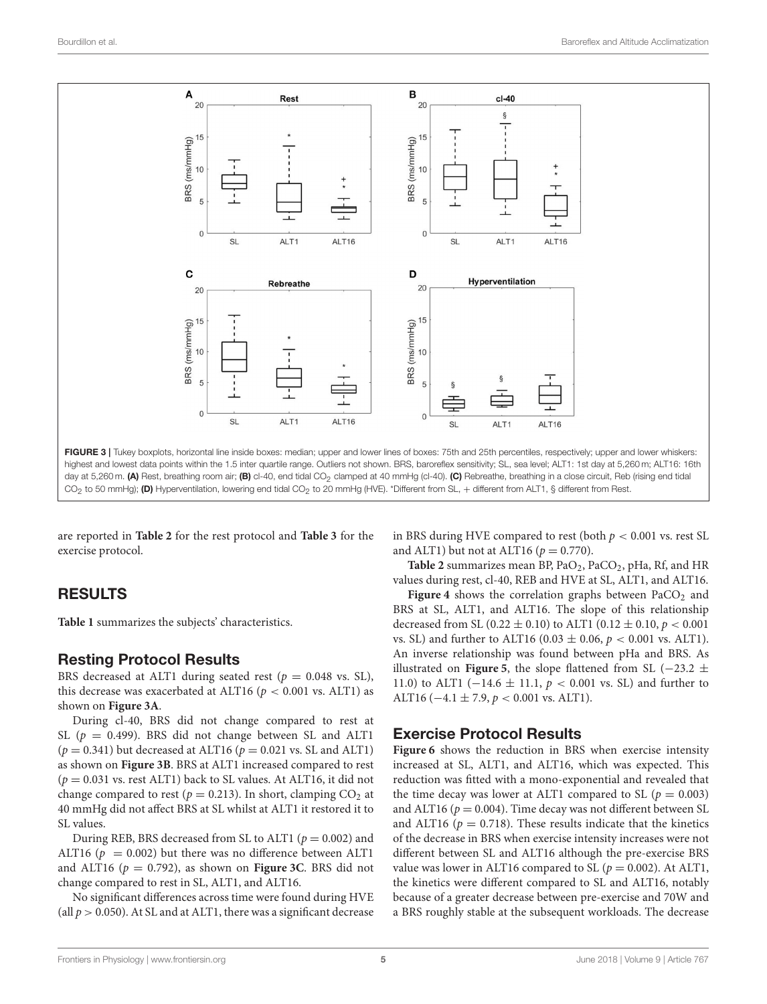

<span id="page-4-0"></span>are reported in **[Table 2](#page-5-0)** for the rest protocol and **[Table 3](#page-7-0)** for the exercise protocol.

# RESULTS

**[Table 1](#page-1-0)** summarizes the subjects' characteristics.

## Resting Protocol Results

BRS decreased at ALT1 during seated rest ( $p = 0.048$  vs. SL), this decrease was exacerbated at ALT16 ( $p < 0.001$  vs. ALT1) as shown on **[Figure 3A](#page-4-0)**.

During cl-40, BRS did not change compared to rest at SL ( $p = 0.499$ ). BRS did not change between SL and ALT1  $(p = 0.341)$  but decreased at ALT16  $(p = 0.021$  vs. SL and ALT1) as shown on **[Figure 3B](#page-4-0)**. BRS at ALT1 increased compared to rest  $(p = 0.031 \text{ vs. rest } ALT1)$  back to SL values. At ALT16, it did not change compared to rest ( $p = 0.213$ ). In short, clamping CO<sub>2</sub> at 40 mmHg did not affect BRS at SL whilst at ALT1 it restored it to SL values.

During REB, BRS decreased from SL to ALT1 ( $p = 0.002$ ) and ALT16 ( $p = 0.002$ ) but there was no difference between ALT1 and ALT16 ( $p = 0.792$ ), as shown on **[Figure 3C](#page-4-0)**. BRS did not change compared to rest in SL, ALT1, and ALT16.

No significant differences across time were found during HVE (all  $p > 0.050$ ). At SL and at ALT1, there was a significant decrease in BRS during HVE compared to rest (both  $p < 0.001$  vs. rest SL and ALT1) but not at ALT16 ( $p = 0.770$ ).

**[Table 2](#page-5-0)** summarizes mean BP, PaO2, PaCO2, pHa, Rf, and HR values during rest, cl-40, REB and HVE at SL, ALT1, and ALT16.

**[Figure 4](#page-6-1)** shows the correlation graphs between  $PaCO<sub>2</sub>$  and BRS at SL, ALT1, and ALT16. The slope of this relationship decreased from SL (0.22  $\pm$  0.10) to ALT1 (0.12  $\pm$  0.10,  $p < 0.001$ vs. SL) and further to ALT16 (0.03  $\pm$  0.06,  $p < 0.001$  vs. ALT1). An inverse relationship was found between pHa and BRS. As illustrated on **[Figure 5](#page-6-2)**, the slope flattened from SL ( $-23.2 \pm$ 11.0) to ALT1 (-14.6  $\pm$  11.1,  $p < 0.001$  vs. SL) and further to ALT16 ( $-4.1 \pm 7.9$ ,  $p < 0.001$  vs. ALT1).

## Exercise Protocol Results

**[Figure 6](#page-6-0)** shows the reduction in BRS when exercise intensity increased at SL, ALT1, and ALT16, which was expected. This reduction was fitted with a mono-exponential and revealed that the time decay was lower at ALT1 compared to SL ( $p = 0.003$ ) and ALT16 ( $p = 0.004$ ). Time decay was not different between SL and ALT16 ( $p = 0.718$ ). These results indicate that the kinetics of the decrease in BRS when exercise intensity increases were not different between SL and ALT16 although the pre-exercise BRS value was lower in ALT16 compared to SL ( $p = 0.002$ ). At ALT1, the kinetics were different compared to SL and ALT16, notably because of a greater decrease between pre-exercise and 70W and a BRS roughly stable at the subsequent workloads. The decrease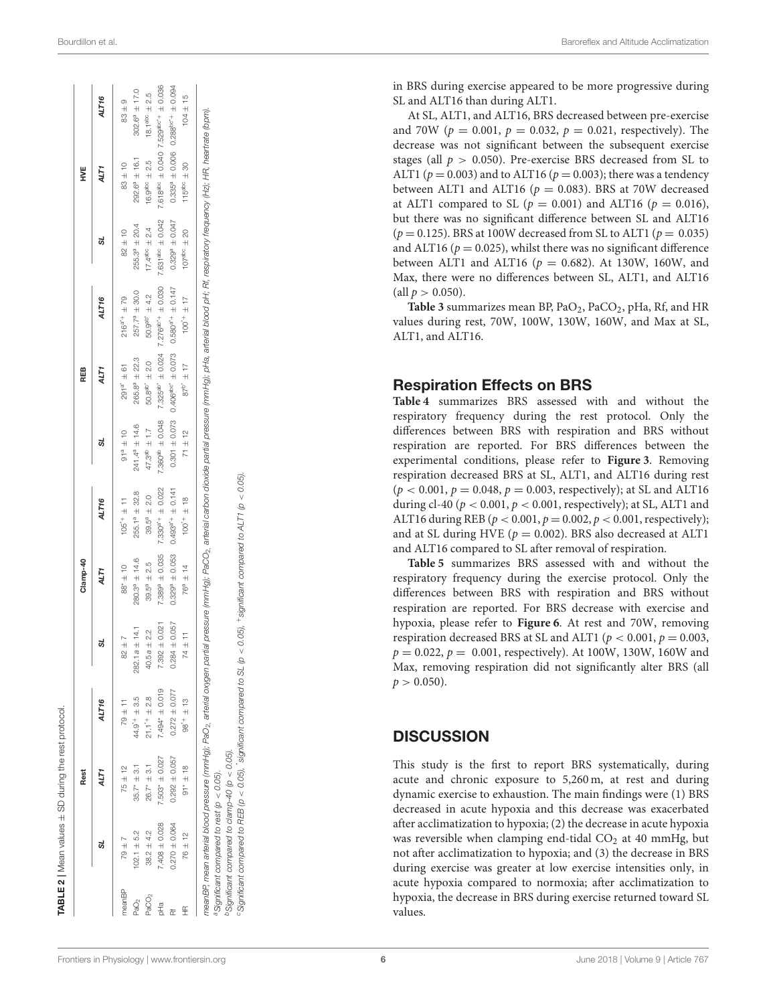|                   | TABLE 2   Mean values $\pm$ SD during the rest protocol                                             |                    |                            |                       |                      |                                                                                                                                                                                                                                                                                                                                               |                        |                                                                |                        |                              |                      |                                                           |
|-------------------|-----------------------------------------------------------------------------------------------------|--------------------|----------------------------|-----------------------|----------------------|-----------------------------------------------------------------------------------------------------------------------------------------------------------------------------------------------------------------------------------------------------------------------------------------------------------------------------------------------|------------------------|----------------------------------------------------------------|------------------------|------------------------------|----------------------|-----------------------------------------------------------|
|                   |                                                                                                     | Rest               |                            |                       | Clamp-40             |                                                                                                                                                                                                                                                                                                                                               |                        | REB                                                            |                        |                              | WE<br>Y              |                                                           |
|                   | ದ                                                                                                   | ALT1               | ALT16                      | ಠ                     | ALT1                 | ALT16                                                                                                                                                                                                                                                                                                                                         | ದ                      | ALT1                                                           | ALT16                  | ದ                            | ALT1                 | ALT <sub>16</sub>                                         |
| meanBP            | $79 \pm 7$                                                                                          | $75 \pm 12$        | $79 \pm 11$                | $82 \pm 7$            | $88" \pm 10$         | $105^{4} \pm 11$                                                                                                                                                                                                                                                                                                                              | $91^a \pm 10$          | $291^{a'} \pm 61$                                              | $216^{a^{*}+} \pm 79$  | $82 + 10$                    | $83 + 10$            | $83 \pm 9$                                                |
| Pa $O2$           | $102.1 + 5.2$                                                                                       | $35.7* + 3.1$      | $44.9^+ + 3.5$             | ± 14.1<br>282.1 a     | $280.3^{a} \pm 14.6$ | $255.1a \pm 32.8$                                                                                                                                                                                                                                                                                                                             | $241.4^{a} \pm 14.6$   | $265.8^a \pm 22.3$                                             | $257.7^a \pm 30.0$     | $255.3^a \pm 20.4$           | $292.6^a \pm 16.1$   | $302.6^a \pm 17.0$                                        |
| PaCO <sub>2</sub> | $38.2 \pm 4.2$                                                                                      | $26.7* \pm 3.1$    | $21.1$ <sup>*+</sup> ± 2.8 | ± 2.2<br>40.5a        | $39.5^a \pm 2.5$     | $39.5^a \pm 2.0$                                                                                                                                                                                                                                                                                                                              | $47.3^{ab} \pm 1.7$    | $50.8^{ab'} \pm 2.0$                                           | $50.9^{ab'}$ $\pm$ 4.2 | $17.4$ abc $\pm 2.4$         | $16.9^{abc} \pm 2.5$ | $18.1^{abc} \pm 2.5$                                      |
| PH <sub>Q</sub>   | $7.408 + 0.028$                                                                                     | $7.503* \pm 0.027$ | $7.494*$ ± 0.019           | ± 0.021<br>7.392      | $7.389^9 \pm 0.035$  | $7.330^{a}$ <sup>+</sup> ± 0.022                                                                                                                                                                                                                                                                                                              | $7.360^{ab} \pm 0.048$ | $7.325^{ab}$ $\pm$ 0.024 7.276 <sup>ab+</sup> $\pm$ 0.030      |                        | 7.631 <sup>abc</sup> ± 0.042 |                      | $7.618^{abc} \pm 0.040$ 7.529 <sup>abc+</sup> $\pm$ 0.036 |
| 苉                 | $0.270 \pm 0.064$                                                                                   | $0.292 \pm 0.057$  | $0.272 \pm 0.077$          | ± 0.057<br>0.284      | $0.329^9 \pm 0.053$  | $0.493^{a*} + \pm 0.141$                                                                                                                                                                                                                                                                                                                      |                        | $0.301 \pm 0.073$ $0.406^{abc'} \pm 0.073$ $0.580^{a} + 0.147$ |                        | $0.3299 + 0.047$             |                      | $0.335^9 \pm 0.006$ 0.288 <sup>bc</sup> + ± 0.094         |
| £                 | $76 \pm 12$                                                                                         | $91 * 18$          | $98^{+} \pm 13$            | $\frac{11}{11}$<br>74 | $76^a \pm 14$        | $100^{+} \pm 18$                                                                                                                                                                                                                                                                                                                              | $71 \pm 12$            | $87^{b'} \pm 17$                                               | $100^{+} \pm 17$       | $107^{abc} \pm 20$           | $115^{400} \pm 30$   | $104 \pm 15$                                              |
|                   | $D$ Significant compared to clamp-40 (p < 0.05).<br>$^{a}$ Significant compared to rest (p < 0.05). |                    |                            |                       |                      | meanBP, mean arterial blood pressure (mmHg); PaO <sub>2,</sub> arterial carbid pressure (mmHg); PaO2, arterial partial pressure (mmHg); pHa, arterial blood pH; Rf, respiratory frequency (HR, heartrate (bpm).<br>°Significant compared to REB (p < 0.05), "significant compared to SL (p < 0.05), "significant compared to ALT1 (p < 0.05). |                        |                                                                |                        |                              |                      |                                                           |

in BRS during exercise appeared to be more progressive during SL and ALT16 than during ALT1.

At SL, ALT1, and ALT16, BRS decreased between pre-exercise and 70W ( $p = 0.001$ ,  $p = 0.032$ ,  $p = 0.021$ , respectively). The decrease was not significant between the subsequent exercise stages (all  $p > 0.050$ ). Pre-exercise BRS decreased from SL to ALT1 ( $p = 0.003$ ) and to ALT16 ( $p = 0.003$ ); there was a tendency between ALT1 and ALT16 ( $p = 0.083$ ). BRS at 70W decreased at ALT1 compared to SL ( $p = 0.001$ ) and ALT16 ( $p = 0.016$ ), but there was no significant difference between SL and ALT16  $(p = 0.125)$ . BRS at 100W decreased from SL to ALT1 ( $p = 0.035$ ) and ALT16 ( $p = 0.025$ ), whilst there was no significant difference between ALT1 and ALT16 ( $p = 0.682$ ). At 130W, 160W, and Max, there were no differences between SL, ALT1, and ALT16  $\text{(all } p > 0.050).$ 

**[Table 3](#page-7-0)** summarizes mean BP, PaO <sup>2</sup>, PaCO <sup>2</sup>, pHa, Rf, and HR values during rest, 70W, 100W, 130W, 160W, and Max at SL, ALT1, and ALT16.

#### Respiration Effects on BRS

**[Table 4](#page-8-0)** summarizes BRS assessed with and without the respiratory frequency during the rest protocol. Only the differences between BRS with respiration and BRS without respiration are reported. For BRS differences between the experimental conditions, please refer to **[Figure 3](#page-4-0)**. Removing respiration decreased BRS at SL, ALT1, and ALT16 during rest  $(p < 0.001, p = 0.048, p = 0.003,$  respectively); at SL and ALT16 during cl-40 ( $p < 0.001$ ,  $p < 0.001$ , respectively); at SL, ALT1 and ALT16 during REB ( $p < 0.001$ ,  $p = 0.002$ ,  $p < 0.001$ , respectively); and at SL during HVE ( $p = 0.002$ ). BRS also decreased at ALT1 and ALT16 compared to SL after removal of respiration.

**[Table 5](#page-9-0)** summarizes BRS assessed with and without the respiratory frequency during the exercise protocol. Only the differences between BRS with respiration and BRS without respiration are reported. For BRS decrease with exercise and hypoxia, please refer to **[Figure 6](#page-6-0)**. At rest and 70W, removing respiration decreased BRS at SL and ALT1 ( $p < 0.001$ ,  $p = 0.003$ ,  $p = 0.022$ ,  $p = 0.001$ , respectively). At 100W, 130W, 160W and Max, removing respiration did not significantly alter BRS (all  $p > 0.050$ ).

#### **DISCUSSION**

<span id="page-5-0"></span>This study is the first to report BRS systematically, during acute and chronic exposure to 5,260 m, at rest and during dynamic exercise to exhaustion. The main findings were (1) BRS decreased in acute hypoxia and this decrease was exacerbated after acclimatization to hypoxia; (2) the decrease in acute hypoxia was reversible when clamping end-tidal CO <sup>2</sup> at 40 mmHg, but not after acclimatization to hypoxia; and (3) the decrease in BRS during exercise was greater at low exercise intensities only, in acute hypoxia compared to normoxia; after acclimatization to hypoxia, the decrease in BRS during exercise returned toward SL values.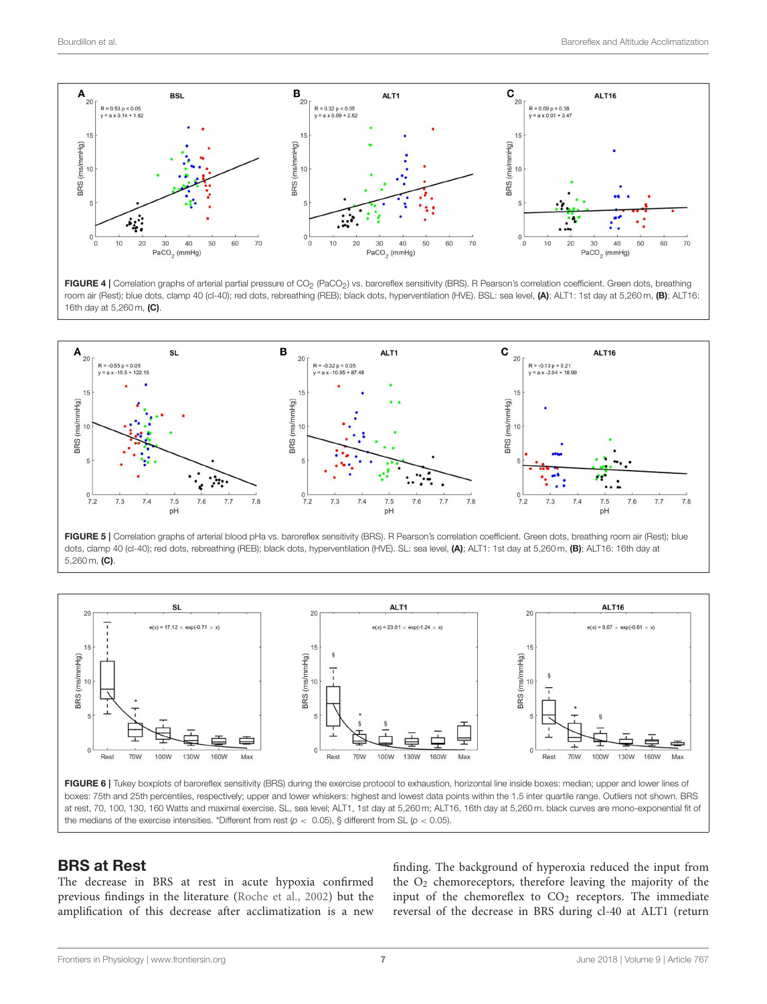

<span id="page-6-1"></span>FIGURE 4 | Correlation graphs of arterial partial pressure of CO<sub>2</sub> (PaCO<sub>2</sub>) vs. baroreflex sensitivity (BRS). R Pearson's correlation coefficient. Green dots, breathing room air (Rest); blue dots, clamp 40 (cl-40); red dots, rebreathing (REB); black dots, hyperventilation (HVE). BSL: sea level, (A); ALT1: 1st day at 5,260 m, (B); ALT16: 16th day at 5,260 m, (C).



<span id="page-6-2"></span>FIGURE 5 | Correlation graphs of arterial blood pHa vs. baroreflex sensitivity (BRS). R Pearson's correlation coefficient. Green dots, breathing room air (Rest); blue dots, clamp 40 (cl-40); red dots, rebreathing (REB); black dots, hyperventilation (HVE). SL: sea level, (A); ALT1: 1st day at 5,260 m, (B); ALT16: 16th day at 5,260 m, (C).



<span id="page-6-0"></span>boxes: 75th and 25th percentiles, respectively; upper and lower whiskers: highest and lowest data points within the 1.5 inter quartile range. Outliers not shown. BRS at rest, 70, 100, 130, 160 Watts and maximal exercise. SL, sea level; ALT1, 1st day at 5,260 m; ALT16, 16th day at 5,260 m. black curves are mono-exponential fit of the medians of the exercise intensities. \*Different from rest ( $p < 0.05$ ), § different from SL ( $p < 0.05$ ).

#### BRS at Rest

The decrease in BRS at rest in acute hypoxia confirmed previous findings in the literature [\(Roche et al., 2002\)](#page-12-14) but the amplification of this decrease after acclimatization is a new finding. The background of hyperoxia reduced the input from the  $O<sub>2</sub>$  chemoreceptors, therefore leaving the majority of the input of the chemoreflex to  $CO<sub>2</sub>$  receptors. The immediate reversal of the decrease in BRS during cl-40 at ALT1 (return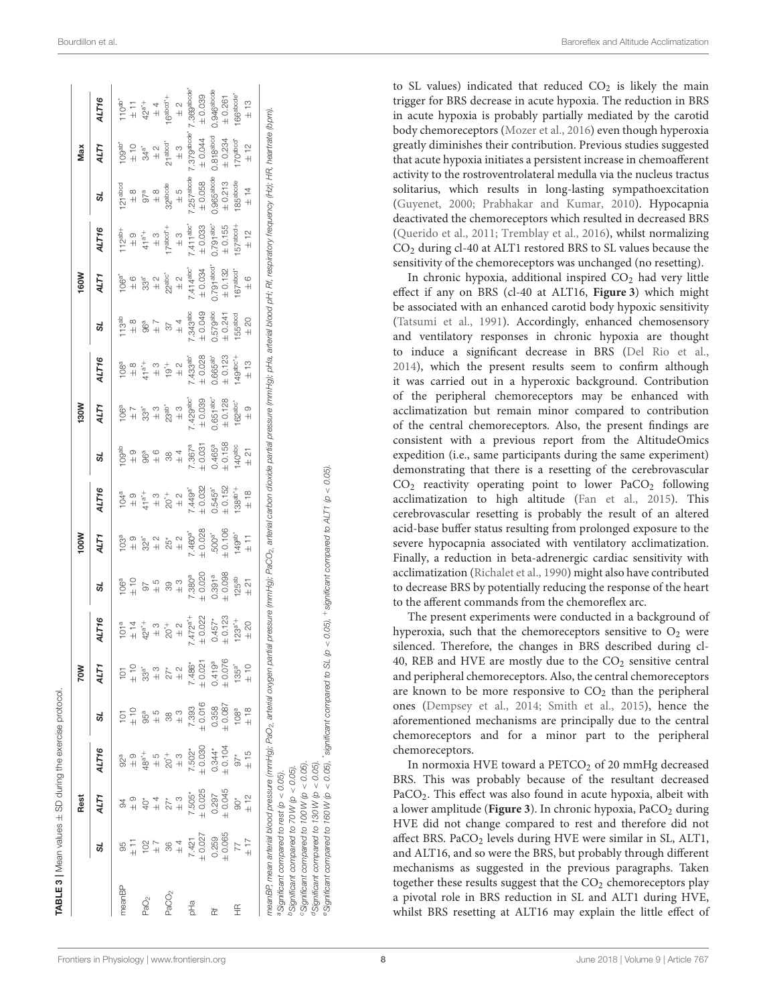| $7.393$<br>$\pm 0.016$<br>$0.358$<br>$+ 0.087$<br>$\begin{array}{c} 108^{\text{a}} \\ + 18 \end{array}$<br>$+ 884$<br>$+ 84$<br>$\frac{3}{4}$<br>$\overline{O}$<br>38<br>ದ<br>$0.344*$<br>$+ 0.104$<br>$7.502*$<br>$\pm 0.030$<br>ALT16<br>$\frac{97}{1}$<br>$92^a + 94^a$<br>$\overset{+}{\underset{\sim}{\circ}}$ 3<br>$\frac{5}{4}$<br>$0.297$<br>$+ 0.045$<br>$7.505*$<br>$\pm 0.025$<br>$\begin{array}{c} 6 \times 10^4 \\ + 10 \times 10^4 \\ + 10 \times 10^6 \end{array}$<br>ALT1<br>$\begin{array}{cccccc} \mathbf{Q} & \mathbf{H} & \mathbf{X} & \mathbf{X} \\ \mathbf{A} & \mathbf{A} & \mathbf{X} & \mathbf{X} \\ \mathbf{A} & \mathbf{A} & \mathbf{X} & \mathbf{X} \end{array}$<br>$\frac{6}{4}$<br>$0.259$<br>$\pm 0.065$<br>$7427$<br>+ 421<br>+ 0.027<br>$\begin{array}{c}\n\angle \\ \uparrow \\ \uparrow\n\end{array}$<br>$+70$<br>$+7$<br>$+7$<br>ಜ<br>meanBP<br>PaCO <sub>2</sub><br>PaO <sub>2</sub><br>pHa<br>£<br>峜 |                     |                                                                                                                                                                                                                                                                            |   | NOOI |                                                                                                                 |   | <b>N081</b>                                                                                                                                                                                |                                                                 |                       | 160W                                                                                                                                                                                                                                                                                                                   |                                                                                                           |                                                                                                                            | Max                   |                                                                                                                   |
|--------------------------------------------------------------------------------------------------------------------------------------------------------------------------------------------------------------------------------------------------------------------------------------------------------------------------------------------------------------------------------------------------------------------------------------------------------------------------------------------------------------------------------------------------------------------------------------------------------------------------------------------------------------------------------------------------------------------------------------------------------------------------------------------------------------------------------------------------------------------------------------------------------------------------------------------|---------------------|----------------------------------------------------------------------------------------------------------------------------------------------------------------------------------------------------------------------------------------------------------------------------|---|------|-----------------------------------------------------------------------------------------------------------------|---|--------------------------------------------------------------------------------------------------------------------------------------------------------------------------------------------|-----------------------------------------------------------------|-----------------------|------------------------------------------------------------------------------------------------------------------------------------------------------------------------------------------------------------------------------------------------------------------------------------------------------------------------|-----------------------------------------------------------------------------------------------------------|----------------------------------------------------------------------------------------------------------------------------|-----------------------|-------------------------------------------------------------------------------------------------------------------|
|                                                                                                                                                                                                                                                                                                                                                                                                                                                                                                                                                                                                                                                                                                                                                                                                                                                                                                                                            | ALT1                | ALT16                                                                                                                                                                                                                                                                      | ದ | ALT1 | ALT16                                                                                                           | ದ | ALT1                                                                                                                                                                                       | ALT16                                                           | ઝ                     | ALT1                                                                                                                                                                                                                                                                                                                   | ALT16                                                                                                     | 57                                                                                                                         | ALTY                  | <b>ALT16</b>                                                                                                      |
|                                                                                                                                                                                                                                                                                                                                                                                                                                                                                                                                                                                                                                                                                                                                                                                                                                                                                                                                            |                     |                                                                                                                                                                                                                                                                            |   |      | $104a$ $144a$ $144a$ $144a$ $144a$ $144a$ $144a$ $144a$ $144a$ $144a$ $144a$ $144a$ $144a$ $144a$ $144a$ $144a$ |   |                                                                                                                                                                                            |                                                                 |                       | $\begin{array}{l} 106^{3} \\ 24 & 6 \\ 133^{3} \\ 33^{4} \\ 24 & 24 \\ 24 & 24 \\ 144^{4} \\ 144^{4} \\ 144^{4} \\ 144^{4} \\ 144^{4} \\ 144^{4} \\ 144^{4} \\ 144^{4} \\ 144^{4} \\ 144^{4} \\ 144^{4} \\ 144^{4} \\ 144^{4} \\ 144^{4} \\ 144^{4} \\ 144^{4} \\ 144^{4} \\ 144^{4} \\ 144^{4} \\ 144^{4} \\ 144^{4}$ | $112^{ab+}$<br>$+ 9$<br>$+ 3$<br>$+ 3$<br>$+ 3$<br>$+ 3$<br>$+ 3$<br>$+ 3$<br>$+ 414^{bc}$<br>$+ 240^{c}$ | 121 abod<br>$\pm 8$<br>$\pm 8$<br>$\pm 8$<br>32 abode<br>325 7 abode<br>$\pm 5$<br>$\pm 5$<br>$\pm 25$ 7 abode<br>$\pm 26$ |                       | 110 <sup>ab*</sup><br>$\pm$ 11<br>$\pm$ 2 $\pm$<br>$\pm$ 4 $\pm$<br>16<br>16<br>16<br>20<br>1.369<br>20<br>17.369 |
|                                                                                                                                                                                                                                                                                                                                                                                                                                                                                                                                                                                                                                                                                                                                                                                                                                                                                                                                            |                     |                                                                                                                                                                                                                                                                            |   |      |                                                                                                                 |   |                                                                                                                                                                                            |                                                                 |                       |                                                                                                                                                                                                                                                                                                                        |                                                                                                           |                                                                                                                            |                       |                                                                                                                   |
|                                                                                                                                                                                                                                                                                                                                                                                                                                                                                                                                                                                                                                                                                                                                                                                                                                                                                                                                            | 57484               |                                                                                                                                                                                                                                                                            |   |      |                                                                                                                 |   |                                                                                                                                                                                            |                                                                 |                       |                                                                                                                                                                                                                                                                                                                        |                                                                                                           |                                                                                                                            |                       |                                                                                                                   |
|                                                                                                                                                                                                                                                                                                                                                                                                                                                                                                                                                                                                                                                                                                                                                                                                                                                                                                                                            |                     |                                                                                                                                                                                                                                                                            |   |      |                                                                                                                 |   |                                                                                                                                                                                            |                                                                 |                       |                                                                                                                                                                                                                                                                                                                        |                                                                                                           |                                                                                                                            |                       |                                                                                                                   |
|                                                                                                                                                                                                                                                                                                                                                                                                                                                                                                                                                                                                                                                                                                                                                                                                                                                                                                                                            |                     | $\begin{array}{l} 101^a\\ 71^a\\ 42^a\\ 31^a\\ 43^a\\ 72^a\\ 72^a\\ 72^a\\ 72^a\\ 72^a\\ 72^a\\ 72^a\\ 72^a\\ 72^a\\ 72^a\\ 72^a\\ 72^a\\ 72^a\\ 72^a\\ 72^a\\ 72^a\\ 72^a\\ 72^a\\ 72^a\\ 72^a\\ 72^a\\ 72^a\\ 72^a\\ 72^a\\ 72^a\\ 72^a\\ 72^a\\ 72^a\\ 72^a\\ 72^a\\ 7$ |   |      |                                                                                                                 |   | $106a\n+ 37\n+ 39\n+ 39\n+ 39\n+ 39\n+ 39\n+ 30\n+ 30\n+ 30\n+ 30\n+ 30\n+ 30\n+ 30\n+ 30\n+ 30\n+ 30\n+ 30\n+ 30\n+ 30\n+ 30\n+ 30\n+ 30\n+ 30\n+ 30\n+ 30\n+ 30\n+ 30\n+ 30\n+ 30\n+ 30$ | $108a\n+ 8\n+ 3\n+ 7\n+ 2\n+ 3\n+ 2\n+ 0.028\n+ 0.123\n+ 0.123$ |                       |                                                                                                                                                                                                                                                                                                                        |                                                                                                           |                                                                                                                            |                       |                                                                                                                   |
|                                                                                                                                                                                                                                                                                                                                                                                                                                                                                                                                                                                                                                                                                                                                                                                                                                                                                                                                            | $27*$<br>$+ 2$      |                                                                                                                                                                                                                                                                            |   |      |                                                                                                                 |   |                                                                                                                                                                                            |                                                                 |                       |                                                                                                                                                                                                                                                                                                                        |                                                                                                           |                                                                                                                            |                       |                                                                                                                   |
|                                                                                                                                                                                                                                                                                                                                                                                                                                                                                                                                                                                                                                                                                                                                                                                                                                                                                                                                            | $7.486*$            |                                                                                                                                                                                                                                                                            |   |      |                                                                                                                 |   |                                                                                                                                                                                            |                                                                 |                       |                                                                                                                                                                                                                                                                                                                        |                                                                                                           |                                                                                                                            |                       |                                                                                                                   |
|                                                                                                                                                                                                                                                                                                                                                                                                                                                                                                                                                                                                                                                                                                                                                                                                                                                                                                                                            | $\pm 0.02$          |                                                                                                                                                                                                                                                                            |   |      |                                                                                                                 |   |                                                                                                                                                                                            |                                                                 |                       |                                                                                                                                                                                                                                                                                                                        |                                                                                                           |                                                                                                                            |                       | $\pm 0.039$                                                                                                       |
|                                                                                                                                                                                                                                                                                                                                                                                                                                                                                                                                                                                                                                                                                                                                                                                                                                                                                                                                            | 0.419 <sup>a</sup>  |                                                                                                                                                                                                                                                                            |   |      |                                                                                                                 |   |                                                                                                                                                                                            |                                                                 |                       | $0.791$ abod"<br>$\pm 0.132$                                                                                                                                                                                                                                                                                           | $0.791^{abc}$<br>$\pm 0.155$                                                                              | $0.965$ abcde<br>$\pm 0.213$                                                                                               | 0.818 <sup>abcd</sup> | $0.946$ abode<br>$\pm 0.261$                                                                                      |
|                                                                                                                                                                                                                                                                                                                                                                                                                                                                                                                                                                                                                                                                                                                                                                                                                                                                                                                                            | ထ<br>$+0.07$        |                                                                                                                                                                                                                                                                            |   |      |                                                                                                                 |   |                                                                                                                                                                                            |                                                                 |                       |                                                                                                                                                                                                                                                                                                                        |                                                                                                           |                                                                                                                            | $\pm 0.234$           |                                                                                                                   |
|                                                                                                                                                                                                                                                                                                                                                                                                                                                                                                                                                                                                                                                                                                                                                                                                                                                                                                                                            | $135a$ <sup>*</sup> |                                                                                                                                                                                                                                                                            |   |      | $\begin{array}{c} 8 \\ +4 \\ +4 \\ +1 \\ \end{array}$                                                           |   | $\begin{array}{c}\n162\n\end{array}$                                                                                                                                                       | $49^{abc^*+}$<br>$\pm 13$                                       | $155abcd$<br>$\pm 20$ | $167a16$<br>$\pm 6$                                                                                                                                                                                                                                                                                                    | $157abcd+$                                                                                                | $185abcde \n\pm 14$                                                                                                        | $170abcd$<br>$+ 12$   | 166 <sup>abode*</sup>                                                                                             |
|                                                                                                                                                                                                                                                                                                                                                                                                                                                                                                                                                                                                                                                                                                                                                                                                                                                                                                                                            | $+10$               |                                                                                                                                                                                                                                                                            |   |      |                                                                                                                 |   |                                                                                                                                                                                            |                                                                 |                       |                                                                                                                                                                                                                                                                                                                        | ± 12                                                                                                      |                                                                                                                            |                       | $+13$                                                                                                             |
| meanBP, mean arterial blood pressure (mmHg); PaO <sub>2,</sub> arterial oxygen partial oxygen partial carbor of partial pressure (mmHg); pHa, arterial blood pH; Rf, respiratory frequency (Hz); HR, heartrate (bpm).                                                                                                                                                                                                                                                                                                                                                                                                                                                                                                                                                                                                                                                                                                                      |                     |                                                                                                                                                                                                                                                                            |   |      |                                                                                                                 |   |                                                                                                                                                                                            |                                                                 |                       |                                                                                                                                                                                                                                                                                                                        |                                                                                                           |                                                                                                                            |                       |                                                                                                                   |
| $^{a}$ Significant compared to rest (p < 0.05).                                                                                                                                                                                                                                                                                                                                                                                                                                                                                                                                                                                                                                                                                                                                                                                                                                                                                            |                     |                                                                                                                                                                                                                                                                            |   |      |                                                                                                                 |   |                                                                                                                                                                                            |                                                                 |                       |                                                                                                                                                                                                                                                                                                                        |                                                                                                           |                                                                                                                            |                       |                                                                                                                   |
| $^{D}$ Significant compared to 70 W (p < 0.05).                                                                                                                                                                                                                                                                                                                                                                                                                                                                                                                                                                                                                                                                                                                                                                                                                                                                                            |                     |                                                                                                                                                                                                                                                                            |   |      |                                                                                                                 |   |                                                                                                                                                                                            |                                                                 |                       |                                                                                                                                                                                                                                                                                                                        |                                                                                                           |                                                                                                                            |                       |                                                                                                                   |

Significant compared to 100W (p < 0.05).<br>¤Significant compared to 130W (p < 0.05).<br>§Significant compared to 160W (p < 0.05), `significant compared to SL (p < 0.05), \*significant compared to ALT1 (p < 0.05).  $+$ significant compared to ALT1 (p  $<$  0.05). \*significant compared to SL (p < 0.05),  $^d$ Significant compared to 130 W (p  $<$  0.05).  $c$ Significant compared to 100 W (p  $<$  0.05). eSignificant compared to 160 W (p < 0.05),

to SL values) indicated that reduced  $CO<sub>2</sub>$  is likely the main trigger for BRS decrease in acute hypoxia. The reduction in BRS in acute hypoxia is probably partially mediated by the carotid body chemoreceptors [\(Mozer et al., 2016\)](#page-11-20) even though hyperoxia greatly diminishes their contribution. Previous studies suggested that acute hypoxia initiates a persistent increase in chemoafferent activity to the rostroventrolateral medulla via the nucleus tractus solitarius, which results in long-lasting sympathoexcitation [\(Guyenet, 2000;](#page-11-21) [Prabhakar and Kumar, 2010\)](#page-12-15). Hypocapnia deactivated the chemoreceptors which resulted in decreased BRS [\(Querido et al., 2011;](#page-12-16) [Tremblay et al., 2016\)](#page-12-17), whilst normalizing CO<sup>2</sup> during cl-40 at ALT1 restored BRS to SL values because the sensitivity of the chemoreceptors was unchanged (no resetting).

In chronic hypoxia, additional inspired  $CO<sub>2</sub>$  had very little effect if any on BRS (cl-40 at ALT16, **[Figure 3](#page-4-0)**) which might be associated with an enhanced carotid body hypoxic sensitivity [\(Tatsumi et al., 1991\)](#page-12-18). Accordingly, enhanced chemosensory and ventilatory responses in chronic hypoxia are thought to induce a significant decrease in BRS [\(Del Rio et al.,](#page-11-22) [2014\)](#page-11-22), which the present results seem to confirm although it was carried out in a hyperoxic background. Contribution of the peripheral chemoreceptors may be enhanced with acclimatization but remain minor compared to contribution of the central chemoreceptors. Also, the present findings are consistent with a previous report from the AltitudeOmics expedition (i.e., same participants during the same experiment) demonstrating that there is a resetting of the cerebrovascular  $CO<sub>2</sub>$  reactivity operating point to lower PaCO<sub>2</sub> following acclimatization to high altitude [\(Fan et al., 2015\)](#page-11-23). This cerebrovascular resetting is probably the result of an altered acid-base buffer status resulting from prolonged exposure to the severe hypocapnia associated with ventilatory acclimatization. Finally, a reduction in beta-adrenergic cardiac sensitivity with acclimatization [\(Richalet et al., 1990\)](#page-12-19) might also have contributed to decrease BRS by potentially reducing the response of the heart to the afferent commands from the chemoreflex arc.

The present experiments were conducted in a background of hyperoxia, such that the chemoreceptors sensitive to  $O_2$  were silenced. Therefore, the changes in BRS described during cl-40, REB and HVE are mostly due to the  $CO<sub>2</sub>$  sensitive central and peripheral chemoreceptors. Also, the central chemoreceptors are known to be more responsive to  $CO<sub>2</sub>$  than the peripheral ones [\(Dempsey et al., 2014;](#page-11-4) [Smith et al., 2015\)](#page-12-0), hence the aforementioned mechanisms are principally due to the central chemoreceptors and for a minor part to the peripheral chemoreceptors.

In normoxia HVE toward a PETCO<sub>2</sub> of 20 mmHg decreased BRS. This was probably because of the resultant decreased PaCO2. This effect was also found in acute hypoxia, albeit with a lower amplitude ([Figure 3](#page-4-0)). In chronic hypoxia, PaCO<sub>2</sub> during HVE did not change compared to rest and therefore did not affect BRS. PaCO<sub>2</sub> levels during HVE were similar in SL, ALT1, and ALT16, and so were the BRS, but probably through different mechanisms as suggested in the previous paragraphs. Taken together these results suggest that the  $CO<sub>2</sub>$  chemoreceptors play a pivotal role in BRS reduction in SL and ALT1 during HVE, whilst BRS resetting at ALT16 may explain the little effect of

<span id="page-7-0"></span>TABLE 3 | Mean values  $\pm$  SD during the exercise protocol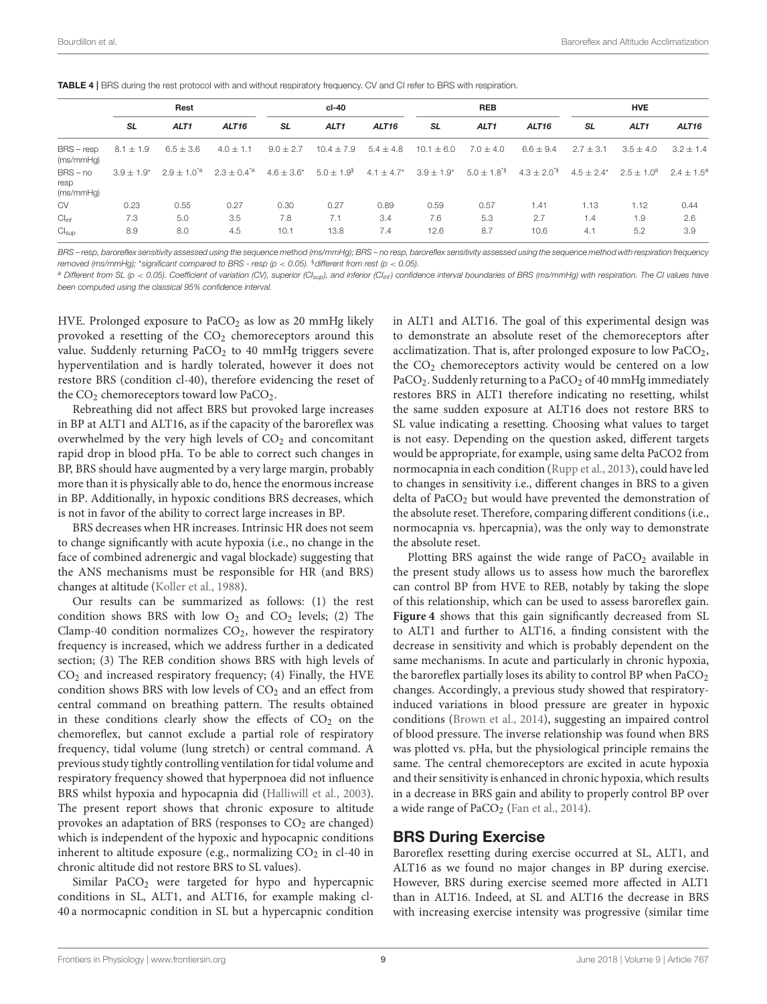<span id="page-8-0"></span>

|  | TABLE 4   BRS during the rest protocol with and without respiratory frequency. CV and CI refer to BRS with respiration. |  |
|--|-------------------------------------------------------------------------------------------------------------------------|--|
|--|-------------------------------------------------------------------------------------------------------------------------|--|

|                                 |               | Rest              |                           |                 | cl-40              |                   |                                 | <b>REB</b>               |                   |                             | <b>HVE</b>       |                   |
|---------------------------------|---------------|-------------------|---------------------------|-----------------|--------------------|-------------------|---------------------------------|--------------------------|-------------------|-----------------------------|------------------|-------------------|
|                                 | <b>SL</b>     | ALT <sub>1</sub>  | ALT <sub>16</sub>         | SL              | ALT <sub>1</sub>   | ALT <sub>16</sub> | <b>SL</b>                       | ALT <sub>1</sub>         | ALT <sub>16</sub> | <b>SL</b>                   | ALT <sub>1</sub> | ALT <sub>16</sub> |
| $BRS - resp$<br>(ms/mmHq)       | $8.1 \pm 1.9$ | $6.5 \pm 3.6$     | $4.0 \pm 1.1$             | $9.0 \pm 2.7$   | $10.4 \pm 7.9$     | $5.4 \pm 4.8$     | $10.1 \pm 6.0$                  | $7.0 \pm 4.0$            | $6.6 \pm 9.4$     | $2.7 \pm 3.1$               | $3.5 \pm 4.0$    | $3.2 \pm 1.4$     |
| $BRS - no$<br>resp<br>(ms/mmHq) | $3.9 + 1.9^*$ | $2.9 \pm 1.0^{4}$ | $2.3 \pm 0.4^{\degree a}$ | $4.6 \pm 3.6^*$ | $5.0 \pm 1.9^{\$}$ |                   | $4.1 \pm 4.7^*$ $3.9 \pm 1.9^*$ | $5.0 \pm 1.8^{\text{*}}$ | $4.3 \pm 2.0^{4}$ | $4.5 + 2.4^*$ $2.5 + 1.0^a$ |                  | $2.4 + 1.5^a$     |
| CV                              | 0.23          | 0.55              | 0.27                      | 0.30            | 0.27               | 0.89              | 0.59                            | 0.57                     | 1.41              | 1.13                        | 1.12             | 0.44              |
| Cl <sub>inf</sub>               | 7.3           | 5.0               | 3.5                       | 7.8             | 7.1                | 3.4               | 7.6                             | 5.3                      | 2.7               | 1.4                         | 1.9              | 2.6               |
| Cl <sub>sub</sub>               | 8.9           | 8.0               | 4.5                       | 10.1            | 13.8               | 7.4               | 12.6                            | 8.7                      | 10.6              | 4.1                         | 5.2              | 3.9               |

BRS – resp, baroreflex sensitivity assessed using the sequence method (ms/mmHg); BRS – no resp, baroreflex sensitivity assessed using the sequence method with respiration frequency removed (ms/mmHg); \*significant compared to BRS - resp ( $p < 0.05$ ). §different from rest ( $p < 0.05$ ).

<sup>a</sup> Different from SL  $p > 0.05$ ). Coefficient of variation (CV), superior (CI<sub>sup</sub>), and inferior (CI<sub>inf</sub>) confidence interval boundaries of BRS (ms/mmHg) with respiration. The CI values have been computed using the classical 95% confidence interval.

HVE. Prolonged exposure to  $PaCO<sub>2</sub>$  as low as 20 mmHg likely provoked a resetting of the  $CO<sub>2</sub>$  chemoreceptors around this value. Suddenly returning  $PaCO<sub>2</sub>$  to 40 mmHg triggers severe hyperventilation and is hardly tolerated, however it does not restore BRS (condition cl-40), therefore evidencing the reset of the  $CO<sub>2</sub>$  chemoreceptors toward low PaCO<sub>2</sub>.

Rebreathing did not affect BRS but provoked large increases in BP at ALT1 and ALT16, as if the capacity of the baroreflex was overwhelmed by the very high levels of  $CO<sub>2</sub>$  and concomitant rapid drop in blood pHa. To be able to correct such changes in BP, BRS should have augmented by a very large margin, probably more than it is physically able to do, hence the enormous increase in BP. Additionally, in hypoxic conditions BRS decreases, which is not in favor of the ability to correct large increases in BP.

BRS decreases when HR increases. Intrinsic HR does not seem to change significantly with acute hypoxia (i.e., no change in the face of combined adrenergic and vagal blockade) suggesting that the ANS mechanisms must be responsible for HR (and BRS) changes at altitude [\(Koller et al., 1988\)](#page-11-24).

Our results can be summarized as follows: (1) the rest condition shows BRS with low  $O_2$  and  $CO_2$  levels; (2) The Clamp-40 condition normalizes  $CO<sub>2</sub>$ , however the respiratory frequency is increased, which we address further in a dedicated section; (3) The REB condition shows BRS with high levels of  $CO<sub>2</sub>$  and increased respiratory frequency; (4) Finally, the HVE condition shows BRS with low levels of  $CO<sub>2</sub>$  and an effect from central command on breathing pattern. The results obtained in these conditions clearly show the effects of  $CO<sub>2</sub>$  on the chemoreflex, but cannot exclude a partial role of respiratory frequency, tidal volume (lung stretch) or central command. A previous study tightly controlling ventilation for tidal volume and respiratory frequency showed that hyperpnoea did not influence BRS whilst hypoxia and hypocapnia did [\(Halliwill et al., 2003\)](#page-11-25). The present report shows that chronic exposure to altitude provokes an adaptation of BRS (responses to  $CO<sub>2</sub>$  are changed) which is independent of the hypoxic and hypocapnic conditions inherent to altitude exposure (e.g., normalizing  $CO<sub>2</sub>$  in cl-40 in chronic altitude did not restore BRS to SL values).

Similar  $PaCO<sub>2</sub>$  were targeted for hypo and hypercapnic conditions in SL, ALT1, and ALT16, for example making cl-40 a normocapnic condition in SL but a hypercapnic condition

in ALT1 and ALT16. The goal of this experimental design was to demonstrate an absolute reset of the chemoreceptors after acclimatization. That is, after prolonged exposure to low  $PaCO<sub>2</sub>$ , the CO<sub>2</sub> chemoreceptors activity would be centered on a low PaCO<sub>2</sub>. Suddenly returning to a PaCO<sub>2</sub> of 40 mmHg immediately restores BRS in ALT1 therefore indicating no resetting, whilst the same sudden exposure at ALT16 does not restore BRS to SL value indicating a resetting. Choosing what values to target is not easy. Depending on the question asked, different targets would be appropriate, for example, using same delta PaCO2 from normocapnia in each condition [\(Rupp et al., 2013\)](#page-12-20), could have led to changes in sensitivity i.e., different changes in BRS to a given delta of PaCO<sub>2</sub> but would have prevented the demonstration of the absolute reset. Therefore, comparing different conditions (i.e., normocapnia vs. hpercapnia), was the only way to demonstrate the absolute reset.

Plotting BRS against the wide range of  $PaCO<sub>2</sub>$  available in the present study allows us to assess how much the baroreflex can control BP from HVE to REB, notably by taking the slope of this relationship, which can be used to assess baroreflex gain. **[Figure 4](#page-6-1)** shows that this gain significantly decreased from SL to ALT1 and further to ALT16, a finding consistent with the decrease in sensitivity and which is probably dependent on the same mechanisms. In acute and particularly in chronic hypoxia, the baroreflex partially loses its ability to control BP when  $PaCO<sub>2</sub>$ changes. Accordingly, a previous study showed that respiratoryinduced variations in blood pressure are greater in hypoxic conditions [\(Brown et al., 2014\)](#page-11-26), suggesting an impaired control of blood pressure. The inverse relationship was found when BRS was plotted vs. pHa, but the physiological principle remains the same. The central chemoreceptors are excited in acute hypoxia and their sensitivity is enhanced in chronic hypoxia, which results in a decrease in BRS gain and ability to properly control BP over a wide range of  $PaCO<sub>2</sub>$  [\(Fan et al., 2014\)](#page-11-27).

#### BRS During Exercise

Baroreflex resetting during exercise occurred at SL, ALT1, and ALT16 as we found no major changes in BP during exercise. However, BRS during exercise seemed more affected in ALT1 than in ALT16. Indeed, at SL and ALT16 the decrease in BRS with increasing exercise intensity was progressive (similar time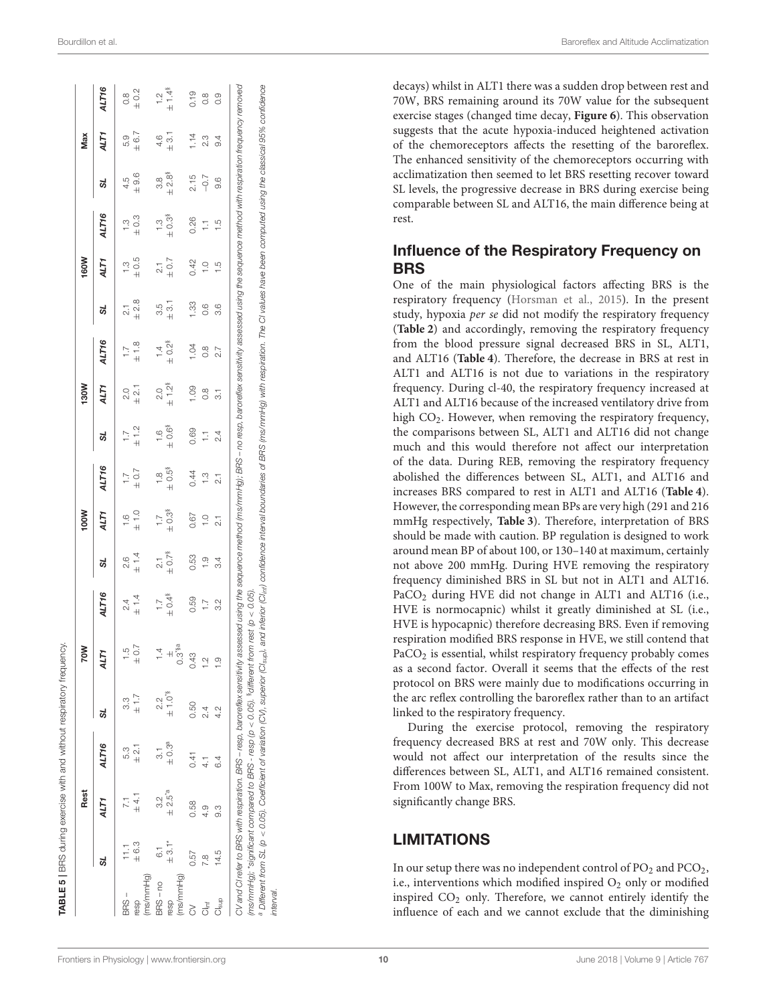decays) whilst in ALT1 there was a sudden drop between rest and 70W, BRS remaining around its 70W value for the subsequent exercise stages (changed time decay, **[Figure 6](#page-6-0)**). This observation suggests that the acute hypoxia-induced heightened activation of the chemoreceptors affects the resetting of the baroreflex. The enhanced sensitivity of the chemoreceptors occurring with acclimatization then seemed to let BRS resetting recover toward SL levels, the progressive decrease in BRS during exercise being comparable between SL and ALT16, the main difference being at rest.

#### Influence of the Respiratory Frequency on BRS

One of the main physiological factors affecting BRS is the respiratory frequency [\(Horsman et al., 2015\)](#page-11-28). In the present study, hypoxia per se did not modify the respiratory frequency (**[Table 2](#page-5-0)**) and accordingly, removing the respiratory frequency from the blood pressure signal decreased BRS in SL, ALT1, and ALT16 (**[Table 4](#page-8-0)**). Therefore, the decrease in BRS at rest in ALT1 and ALT16 is not due to variations in the respiratory frequency. During cl-40, the respiratory frequency increased at ALT1 and ALT16 because of the increased ventilatory drive from high CO<sub>2</sub>. However, when removing the respiratory frequency, the comparisons between SL, ALT1 and ALT16 did not change much and this would therefore not affect our interpretation of the data. During REB, removing the respiratory frequency abolished the differences between SL, ALT1, and ALT16 and increases BRS compared to rest in ALT1 and ALT16 (**[Table 4](#page-8-0)**). However, the corresponding mean BPs are very high (291 and 216 mmHg respectively, **[Table 3](#page-7-0)**). Therefore, interpretation of BRS should be made with caution. BP regulation is designed to work around mean BP of about 100, or 130–140 at maximum, certainly not above 200 mmHg. During HVE removing the respiratory frequency diminished BRS in SL but not in ALT1 and ALT16. PaCO<sub>2</sub> during HVE did not change in ALT1 and ALT16 (i.e., HVE is normocapnic) whilst it greatly diminished at SL (i.e., HVE is hypocapnic) therefore decreasing BRS. Even if removing respiration modified BRS response in HVE, we still contend that PaCO<sub>2</sub> is essential, whilst respiratory frequency probably comes as a second factor. Overall it seems that the effects of the rest protocol on BRS were mainly due to modifications occurring in the arc reflex controlling the baroreflex rather than to an artifact linked to the respiratory frequency.

During the exercise protocol, removing the respiratory frequency decreased BRS at rest and 70W only. This decrease would not affect our interpretation of the results since the differences between SL, ALT1, and ALT16 remained consistent. From 100W to Max, removing the respiration frequency did not significantly change BRS.

#### LIMITATIONS

In our setup there was no independent control of  $PO<sub>2</sub>$  and  $PCO<sub>2</sub>$ , i.e., interventions which modified inspired  $O_2$  only or modified inspired CO<sup>2</sup> only. Therefore, we cannot entirely identify the influence of each and we cannot exclude that the diminishing

| ١<br>į<br>١                                                   |
|---------------------------------------------------------------|
| j<br>١<br>ı<br>$\overline{\phantom{a}}$<br>$\frac{1}{2}$<br>ı |
| i<br>b                                                        |
| ٦<br>ς<br>Σ<br>i                                              |
| ĵ                                                             |
| I<br>ı<br>١<br>$\frac{1}{2}$<br>١<br>b<br>I<br>١              |
| Ì<br>)<br>J<br>ï                                              |
| c<br>f<br>١                                                   |
| ц<br>!<br>Į<br>ı<br>í<br>ı                                    |

|                          |                | Rest       |                      |                         | 70W                  |                        |                        | <b>NOOI</b>     |                   |                   | <b>M081</b>         |                        |                | 160W             |               |                   | Max               |                     |
|--------------------------|----------------|------------|----------------------|-------------------------|----------------------|------------------------|------------------------|-----------------|-------------------|-------------------|---------------------|------------------------|----------------|------------------|---------------|-------------------|-------------------|---------------------|
|                          | ದ              | ALT1       | ALT16                | 5L                      | ALT1                 | ALT16                  | ದ                      | ALT1            | ALT16             | ಜ                 | ALT1                | ALT16                  | ದ              | ALT1             | ALT16         | 51                | ALT1              | ALT16               |
| BRS-                     |                |            | 53                   | 33                      | $\frac{5}{1}$        | 24                     | 2.6                    | $\frac{6}{1}$   |                   | $\overline{1}$ .  |                     | $\overline{a}$         | $\overline{2}$ | $\sum_{i=1}^{n}$ | <u>ო</u>      | 4.5               | 5.9               | $\frac{8}{10}$      |
| resp                     | $\pm 6.3$      | $\pm 4.1$  | $\pm 2.1$            | ±1.7                    | $\pm 0.7$            | ± 1.4                  | ± 1.4                  | $\pm$ 1.0       | $7.7 + 0.7$       | ± 1.2             | .<br>3<br>3         | $\pm$ 1.8              | ± 2.8          | $\pm 0.5$        | $\pm 0.3$     | $\pm 9.6$         | ± 6.7             | $\pm 0.2$           |
| (ms/mmHa)                |                |            |                      |                         |                      |                        |                        |                 |                   |                   |                     |                        |                |                  |               |                   |                   |                     |
| BRS-no                   | $\overline{6}$ | 23         |                      | 22                      |                      | $\overline{1}$ .       | $\frac{1}{2}$          |                 | $\frac{80}{1}$    | $\frac{6}{1}$     | Q.Q                 | $\frac{1}{4}$          | 3.5            | $\frac{1}{2}$    | $\frac{3}{1}$ | 38                | 4.6               | $\frac{1}{2}$       |
| resp                     | $+3.1*$        | $\pm 2.5a$ | $\pm 0.3^{\text{a}}$ | $\pm$ 1.0 <sup>'s</sup> |                      | $\pm$ 0.4 <sup>§</sup> | $\pm 0.7$ <sup>§</sup> | $\pm 0.3$       | $\pm 0.5^{\circ}$ | $\pm 0.6^{\circ}$ | $±1.2$ <sup>§</sup> | $\pm 0.2$ <sup>8</sup> | $\frac{1}{2}$  | $\pm$ 0.7        | $\pm 0.3$     | $\pm 2.8^{\circ}$ | $\frac{1}{2}$     | $±1.4$ <sup>§</sup> |
| (ms/mmHg)                |                |            |                      |                         | $0.3$ <sup>*8a</sup> |                        |                        |                 |                   |                   |                     |                        |                |                  |               |                   |                   |                     |
| 2                        | 0.57           | 0.58       | 0.41                 | 0.50                    | 0.43                 | 0.59                   | 0.53                   | 0.67            | 0.44              | 0.69              | 001                 | R<br>S                 | 33.            | 0.42             | 0.26          | 2.15              | 1.14              | 0.19                |
| $\frac{1}{\overline{C}}$ | $\frac{8}{1}$  | 4.9        | $\frac{1}{4}$        | 2.4                     | $\frac{1}{2}$        | $\overline{1}$ .       | $\frac{0}{1}$          | $\frac{0}{1}$   | $\frac{3}{1}$     | $\overline{1}$    | $\frac{8}{10}$      | $\frac{8}{2}$          | $\frac{6}{2}$  | $\frac{1}{1}$    | H             | $-0.7$            | 2.3               | $\frac{8}{10}$      |
| Cl <sub>sup</sub>        | 14.5           | 33         | 6.4                  | 4.2                     | O.                   | 3.2                    | 3.4                    | $\overline{21}$ | $\overline{21}$   | $\overline{2.4}$  | $\frac{1}{3}$       | 2.7                    | 3.6            | LQ.              | $\frac{5}{1}$ | 9.6               | $\ddot{\theta}$ . | $\frac{0}{0}$       |

[Frontiers in Physiology](https://www.frontiersin.org/journals/physiology)| [www.frontiersin.org](https://www.frontiersin.org) 10 10 [June 2018 | Volume 9 | Article 767](https://www.frontiersin.org/journals/physiology#articles)

<span id="page-9-0"></span>interval.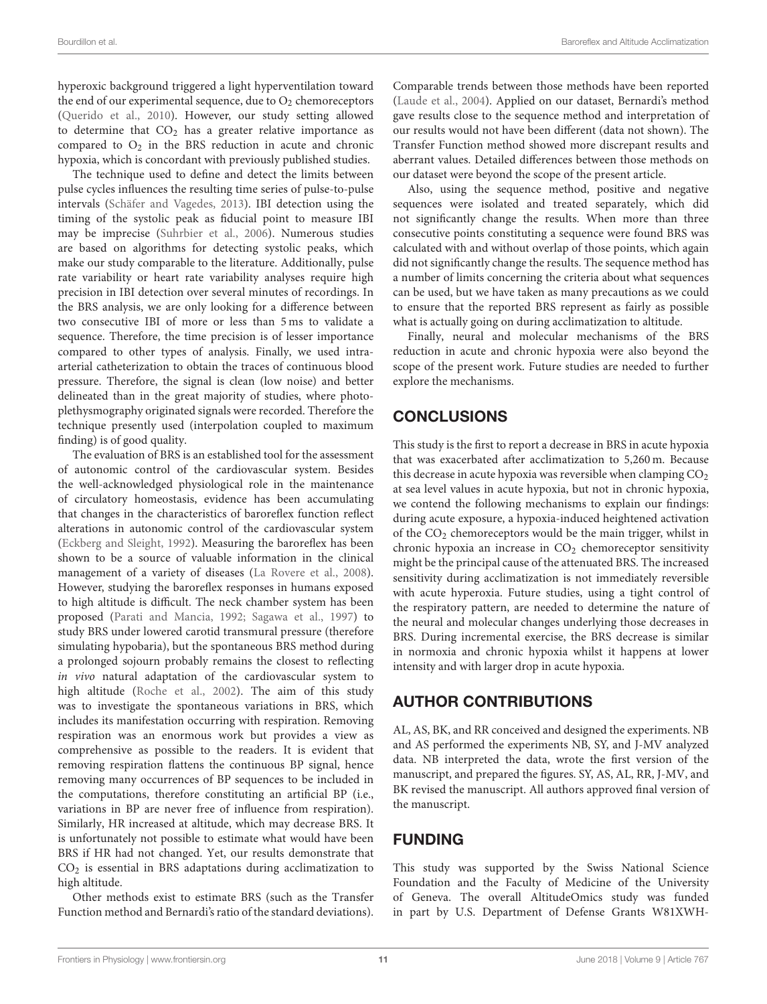hyperoxic background triggered a light hyperventilation toward the end of our experimental sequence, due to  $O_2$  chemoreceptors [\(Querido et al., 2010\)](#page-12-21). However, our study setting allowed to determine that  $CO<sub>2</sub>$  has a greater relative importance as compared to  $O_2$  in the BRS reduction in acute and chronic hypoxia, which is concordant with previously published studies.

The technique used to define and detect the limits between pulse cycles influences the resulting time series of pulse-to-pulse intervals [\(Schäfer and Vagedes, 2013\)](#page-12-22). IBI detection using the timing of the systolic peak as fiducial point to measure IBI may be imprecise [\(Suhrbier et al., 2006\)](#page-12-23). Numerous studies are based on algorithms for detecting systolic peaks, which make our study comparable to the literature. Additionally, pulse rate variability or heart rate variability analyses require high precision in IBI detection over several minutes of recordings. In the BRS analysis, we are only looking for a difference between two consecutive IBI of more or less than 5 ms to validate a sequence. Therefore, the time precision is of lesser importance compared to other types of analysis. Finally, we used intraarterial catheterization to obtain the traces of continuous blood pressure. Therefore, the signal is clean (low noise) and better delineated than in the great majority of studies, where photoplethysmography originated signals were recorded. Therefore the technique presently used (interpolation coupled to maximum finding) is of good quality.

The evaluation of BRS is an established tool for the assessment of autonomic control of the cardiovascular system. Besides the well-acknowledged physiological role in the maintenance of circulatory homeostasis, evidence has been accumulating that changes in the characteristics of baroreflex function reflect alterations in autonomic control of the cardiovascular system [\(Eckberg and Sleight, 1992\)](#page-11-29). Measuring the baroreflex has been shown to be a source of valuable information in the clinical management of a variety of diseases [\(La Rovere et al., 2008\)](#page-11-14). However, studying the baroreflex responses in humans exposed to high altitude is difficult. The neck chamber system has been proposed [\(Parati and Mancia, 1992;](#page-12-24) [Sagawa et al., 1997\)](#page-12-25) to study BRS under lowered carotid transmural pressure (therefore simulating hypobaria), but the spontaneous BRS method during a prolonged sojourn probably remains the closest to reflecting in vivo natural adaptation of the cardiovascular system to high altitude [\(Roche et al., 2002\)](#page-12-14). The aim of this study was to investigate the spontaneous variations in BRS, which includes its manifestation occurring with respiration. Removing respiration was an enormous work but provides a view as comprehensive as possible to the readers. It is evident that removing respiration flattens the continuous BP signal, hence removing many occurrences of BP sequences to be included in the computations, therefore constituting an artificial BP (i.e., variations in BP are never free of influence from respiration). Similarly, HR increased at altitude, which may decrease BRS. It is unfortunately not possible to estimate what would have been BRS if HR had not changed. Yet, our results demonstrate that  $CO<sub>2</sub>$  is essential in BRS adaptations during acclimatization to high altitude.

Other methods exist to estimate BRS (such as the Transfer Function method and Bernardi's ratio of the standard deviations).

Comparable trends between those methods have been reported [\(Laude et al., 2004\)](#page-11-30). Applied on our dataset, Bernardi's method gave results close to the sequence method and interpretation of our results would not have been different (data not shown). The Transfer Function method showed more discrepant results and aberrant values. Detailed differences between those methods on our dataset were beyond the scope of the present article.

Also, using the sequence method, positive and negative sequences were isolated and treated separately, which did not significantly change the results. When more than three consecutive points constituting a sequence were found BRS was calculated with and without overlap of those points, which again did not significantly change the results. The sequence method has a number of limits concerning the criteria about what sequences can be used, but we have taken as many precautions as we could to ensure that the reported BRS represent as fairly as possible what is actually going on during acclimatization to altitude.

Finally, neural and molecular mechanisms of the BRS reduction in acute and chronic hypoxia were also beyond the scope of the present work. Future studies are needed to further explore the mechanisms.

# **CONCLUSIONS**

This study is the first to report a decrease in BRS in acute hypoxia that was exacerbated after acclimatization to 5,260 m. Because this decrease in acute hypoxia was reversible when clamping  $CO<sub>2</sub>$ at sea level values in acute hypoxia, but not in chronic hypoxia, we contend the following mechanisms to explain our findings: during acute exposure, a hypoxia-induced heightened activation of the CO<sub>2</sub> chemoreceptors would be the main trigger, whilst in chronic hypoxia an increase in  $CO<sub>2</sub>$  chemoreceptor sensitivity might be the principal cause of the attenuated BRS. The increased sensitivity during acclimatization is not immediately reversible with acute hyperoxia. Future studies, using a tight control of the respiratory pattern, are needed to determine the nature of the neural and molecular changes underlying those decreases in BRS. During incremental exercise, the BRS decrease is similar in normoxia and chronic hypoxia whilst it happens at lower intensity and with larger drop in acute hypoxia.

# AUTHOR CONTRIBUTIONS

AL, AS, BK, and RR conceived and designed the experiments. NB and AS performed the experiments NB, SY, and J-MV analyzed data. NB interpreted the data, wrote the first version of the manuscript, and prepared the figures. SY, AS, AL, RR, J-MV, and BK revised the manuscript. All authors approved final version of the manuscript.

# FUNDING

This study was supported by the Swiss National Science Foundation and the Faculty of Medicine of the University of Geneva. The overall AltitudeOmics study was funded in part by U.S. Department of Defense Grants W81XWH-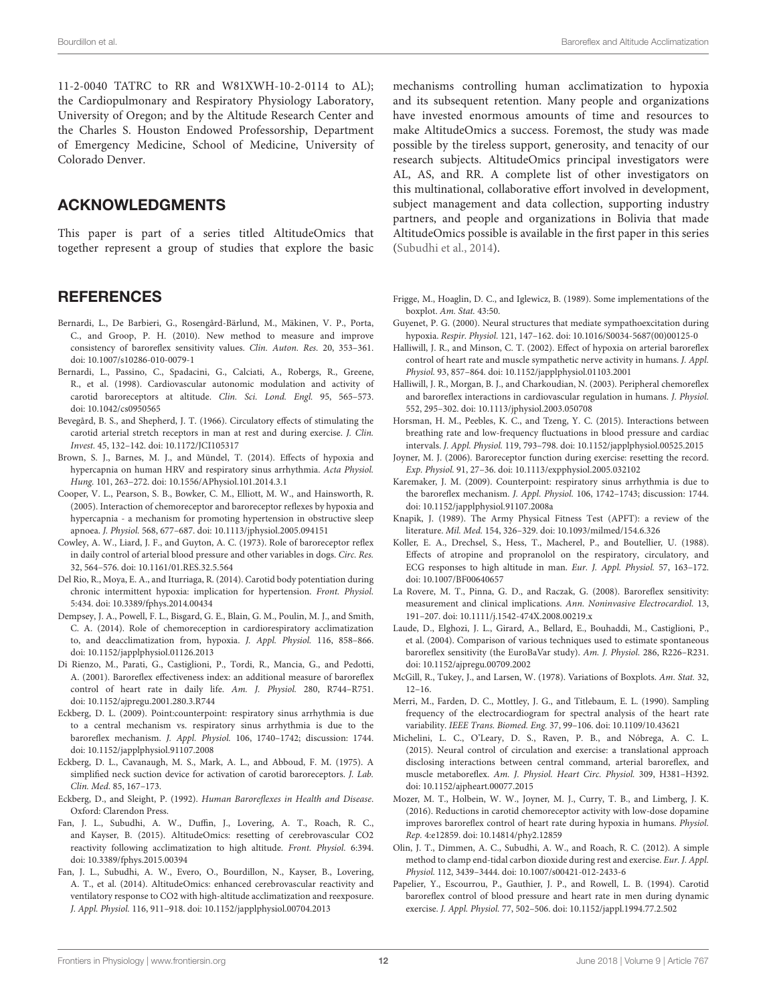11-2-0040 TATRC to RR and W81XWH-10-2-0114 to AL); the Cardiopulmonary and Respiratory Physiology Laboratory, University of Oregon; and by the Altitude Research Center and the Charles S. Houston Endowed Professorship, Department of Emergency Medicine, School of Medicine, University of Colorado Denver.

#### ACKNOWLEDGMENTS

This paper is part of a series titled AltitudeOmics that together represent a group of studies that explore the basic

#### **REFERENCES**

- <span id="page-11-13"></span>Bernardi, L., De Barbieri, G., Rosengård-Bärlund, M., Mäkinen, V. P., Porta, C., and Groop, P. H. (2010). New method to measure and improve consistency of baroreflex sensitivity values. Clin. Auton. Res. 20, 353–361. doi: [10.1007/s10286-010-0079-1](https://doi.org/10.1007/s10286-010-0079-1)
- <span id="page-11-1"></span>Bernardi, L., Passino, C., Spadacini, G., Calciati, A., Robergs, R., Greene, R., et al. (1998). Cardiovascular autonomic modulation and activity of carotid baroreceptors at altitude. Clin. Sci. Lond. Engl. 95, 565–573. doi: [10.1042/cs0950565](https://doi.org/10.1042/cs0950565)
- <span id="page-11-6"></span>Bevegård, B. S., and Shepherd, J. T. (1966). Circulatory effects of stimulating the carotid arterial stretch receptors in man at rest and during exercise. J. Clin. Invest. 45, 132–142. doi: [10.1172/JCI105317](https://doi.org/10.1172/JCI105317)
- <span id="page-11-26"></span>Brown, S. J., Barnes, M. J., and Mündel, T. (2014). Effects of hypoxia and hypercapnia on human HRV and respiratory sinus arrhythmia. Acta Physiol. Hung. 101, 263–272. doi: [10.1556/APhysiol.101.2014.3.1](https://doi.org/10.1556/APhysiol.101.2014.3.1)
- <span id="page-11-2"></span>Cooper, V. L., Pearson, S. B., Bowker, C. M., Elliott, M. W., and Hainsworth, R. (2005). Interaction of chemoreceptor and baroreceptor reflexes by hypoxia and hypercapnia - a mechanism for promoting hypertension in obstructive sleep apnoea. J. Physiol. 568, 677–687. doi: [10.1113/jphysiol.2005.094151](https://doi.org/10.1113/jphysiol.2005.094151)
- <span id="page-11-3"></span>Cowley, A. W., Liard, J. F., and Guyton, A. C. (1973). Role of baroreceptor reflex in daily control of arterial blood pressure and other variables in dogs. Circ. Res. 32, 564–576. doi: [10.1161/01.RES.32.5.564](https://doi.org/10.1161/01.RES.32.5.564)
- <span id="page-11-22"></span>Del Rio, R., Moya, E. A., and Iturriaga, R. (2014). Carotid body potentiation during chronic intermittent hypoxia: implication for hypertension. Front. Physiol. 5:434. doi: [10.3389/fphys.2014.00434](https://doi.org/10.3389/fphys.2014.00434)
- <span id="page-11-4"></span>Dempsey, J. A., Powell, F. L., Bisgard, G. E., Blain, G. M., Poulin, M. J., and Smith, C. A. (2014). Role of chemoreception in cardiorespiratory acclimatization to, and deacclimatization from, hypoxia. J. Appl. Physiol. 116, 858–866. doi: [10.1152/japplphysiol.01126.2013](https://doi.org/10.1152/japplphysiol.01126.2013)
- <span id="page-11-15"></span>Di Rienzo, M., Parati, G., Castiglioni, P., Tordi, R., Mancia, G., and Pedotti, A. (2001). Baroreflex effectiveness index: an additional measure of baroreflex control of heart rate in daily life. Am. J. Physiol. 280, R744–R751. doi: [10.1152/ajpregu.2001.280.3.R744](https://doi.org/10.1152/ajpregu.2001.280.3.R744)
- <span id="page-11-16"></span>Eckberg, D. L. (2009). Point:counterpoint: respiratory sinus arrhythmia is due to a central mechanism vs. respiratory sinus arrhythmia is due to the baroreflex mechanism. J. Appl. Physiol. 106, 1740–1742; discussion: 1744. doi: [10.1152/japplphysiol.91107.2008](https://doi.org/10.1152/japplphysiol.91107.2008)
- <span id="page-11-7"></span>Eckberg, D. L., Cavanaugh, M. S., Mark, A. L., and Abboud, F. M. (1975). A simplified neck suction device for activation of carotid baroreceptors. J. Lab. Clin. Med. 85, 167–173.
- <span id="page-11-29"></span>Eckberg, D., and Sleight, P. (1992). Human Baroreflexes in Health and Disease. Oxford: Clarendon Press.
- <span id="page-11-23"></span>Fan, J. L., Subudhi, A. W., Duffin, J., Lovering, A. T., Roach, R. C., and Kayser, B. (2015). AltitudeOmics: resetting of cerebrovascular CO2 reactivity following acclimatization to high altitude. Front. Physiol. 6:394. doi: [10.3389/fphys.2015.00394](https://doi.org/10.3389/fphys.2015.00394)
- <span id="page-11-27"></span>Fan, J. L., Subudhi, A. W., Evero, O., Bourdillon, N., Kayser, B., Lovering, A. T., et al. (2014). AltitudeOmics: enhanced cerebrovascular reactivity and ventilatory response to CO2 with high-altitude acclimatization and reexposure. J. Appl. Physiol. 116, 911–918. doi: [10.1152/japplphysiol.00704.2013](https://doi.org/10.1152/japplphysiol.00704.2013)

mechanisms controlling human acclimatization to hypoxia and its subsequent retention. Many people and organizations have invested enormous amounts of time and resources to make AltitudeOmics a success. Foremost, the study was made possible by the tireless support, generosity, and tenacity of our research subjects. AltitudeOmics principal investigators were AL, AS, and RR. A complete list of other investigators on this multinational, collaborative effort involved in development, subject management and data collection, supporting industry partners, and people and organizations in Bolivia that made AltitudeOmics possible is available in the first paper in this series [\(Subudhi et al., 2014\)](#page-12-5).

- <span id="page-11-18"></span>Frigge, M., Hoaglin, D. C., and Iglewicz, B. (1989). Some implementations of the boxplot. Am. Stat. 43:50.
- <span id="page-11-21"></span>Guyenet, P. G. (2000). Neural structures that mediate sympathoexcitation during hypoxia. Respir. Physiol. 121, 147–162. doi: [10.1016/S0034-5687\(00\)00125-0](https://doi.org/10.1016/S0034-5687(00)00125-0)
- <span id="page-11-0"></span>Halliwill, J. R., and Minson, C. T. (2002). Effect of hypoxia on arterial baroreflex control of heart rate and muscle sympathetic nerve activity in humans. J. Appl. Physiol. 93, 857–864. doi: [10.1152/japplphysiol.01103.2001](https://doi.org/10.1152/japplphysiol.01103.2001)
- <span id="page-11-25"></span>Halliwill, J. R., Morgan, B. J., and Charkoudian, N. (2003). Peripheral chemoreflex and baroreflex interactions in cardiovascular regulation in humans. J. Physiol. 552, 295–302. doi: [10.1113/jphysiol.2003.050708](https://doi.org/10.1113/jphysiol.2003.050708)
- <span id="page-11-28"></span>Horsman, H. M., Peebles, K. C., and Tzeng, Y. C. (2015). Interactions between breathing rate and low-frequency fluctuations in blood pressure and cardiac intervals. J. Appl. Physiol. 119, 793–798. doi: [10.1152/japplphysiol.00525.2015](https://doi.org/10.1152/japplphysiol.00525.2015)
- <span id="page-11-8"></span>Joyner, M. J. (2006). Baroreceptor function during exercise: resetting the record. Exp. Physiol. 91, 27–36. doi: [10.1113/expphysiol.2005.032102](https://doi.org/10.1113/expphysiol.2005.032102)
- <span id="page-11-17"></span>Karemaker, J. M. (2009). Counterpoint: respiratory sinus arrhythmia is due to the baroreflex mechanism. J. Appl. Physiol. 106, 1742–1743; discussion: 1744. doi: [10.1152/japplphysiol.91107.2008a](https://doi.org/10.1152/japplphysiol.91107.2008a)
- <span id="page-11-10"></span>Knapik, J. (1989). The Army Physical Fitness Test (APFT): a review of the literature. Mil. Med. 154, 326–329. doi: [10.1093/milmed/154.6.326](https://doi.org/10.1093/milmed/154.6.326)
- <span id="page-11-24"></span>Koller, E. A., Drechsel, S., Hess, T., Macherel, P., and Boutellier, U. (1988). Effects of atropine and propranolol on the respiratory, circulatory, and ECG responses to high altitude in man. Eur. J. Appl. Physiol. 57, 163–172. doi: [10.1007/BF00640657](https://doi.org/10.1007/BF00640657)
- <span id="page-11-14"></span>La Rovere, M. T., Pinna, G. D., and Raczak, G. (2008). Baroreflex sensitivity: measurement and clinical implications. Ann. Noninvasive Electrocardiol. 13, 191–207. doi: [10.1111/j.1542-474X.2008.00219.x](https://doi.org/10.1111/j.1542-474X.2008.00219.x)
- <span id="page-11-30"></span>Laude, D., Elghozi, J. L., Girard, A., Bellard, E., Bouhaddi, M., Castiglioni, P., et al. (2004). Comparison of various techniques used to estimate spontaneous baroreflex sensitivity (the EuroBaVar study). Am. J. Physiol. 286, R226–R231. doi: [10.1152/ajpregu.00709.2002](https://doi.org/10.1152/ajpregu.00709.2002)
- <span id="page-11-19"></span>McGill, R., Tukey, J., and Larsen, W. (1978). Variations of Boxplots. Am. Stat. 32, 12–16.
- <span id="page-11-12"></span>Merri, M., Farden, D. C., Mottley, J. G., and Titlebaum, E. L. (1990). Sampling frequency of the electrocardiogram for spectral analysis of the heart rate variability. IEEE Trans. Biomed. Eng. 37, 99–106. doi: [10.1109/10.43621](https://doi.org/10.1109/10.43621)
- <span id="page-11-5"></span>Michelini, L. C., O'Leary, D. S., Raven, P. B., and Nóbrega, A. C. L. (2015). Neural control of circulation and exercise: a translational approach disclosing interactions between central command, arterial baroreflex, and muscle metaboreflex. Am. J. Physiol. Heart Circ. Physiol. 309, H381–H392. doi: [10.1152/ajpheart.00077.2015](https://doi.org/10.1152/ajpheart.00077.2015)
- <span id="page-11-20"></span>Mozer, M. T., Holbein, W. W., Joyner, M. J., Curry, T. B., and Limberg, J. K. (2016). Reductions in carotid chemoreceptor activity with low-dose dopamine improves baroreflex control of heart rate during hypoxia in humans. Physiol. Rep. 4:e12859. doi: [10.14814/phy2.12859](https://doi.org/10.14814/phy2.12859)
- <span id="page-11-11"></span>Olin, J. T., Dimmen, A. C., Subudhi, A. W., and Roach, R. C. (2012). A simple method to clamp end-tidal carbon dioxide during rest and exercise. Eur. J. Appl. Physiol. 112, 3439–3444. doi: [10.1007/s00421-012-2433-6](https://doi.org/10.1007/s00421-012-2433-6)
- <span id="page-11-9"></span>Papelier, Y., Escourrou, P., Gauthier, J. P., and Rowell, L. B. (1994). Carotid baroreflex control of blood pressure and heart rate in men during dynamic exercise. J. Appl. Physiol. 77, 502–506. doi: [10.1152/jappl.1994.77.2.502](https://doi.org/10.1152/jappl.1994.77.2.502)